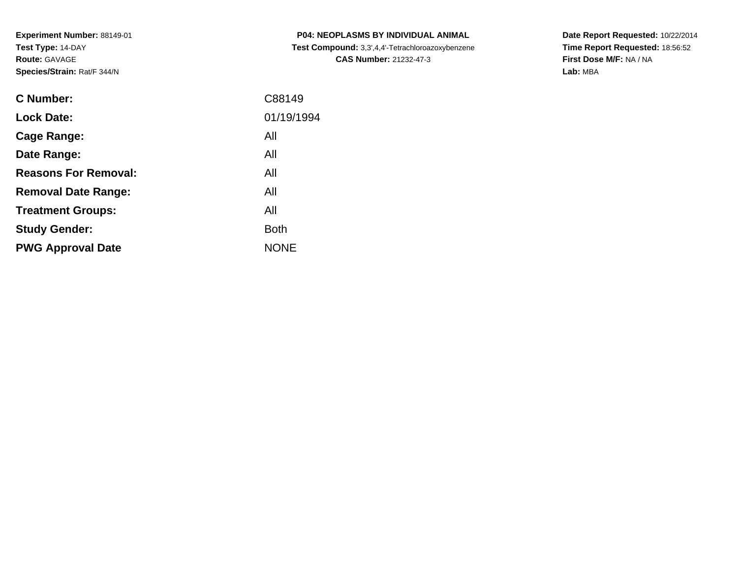| <b>C Number:</b>            | C88149      |
|-----------------------------|-------------|
| <b>Lock Date:</b>           | 01/19/1994  |
| <b>Cage Range:</b>          | All         |
| Date Range:                 | All         |
| <b>Reasons For Removal:</b> | All         |
| <b>Removal Date Range:</b>  | All         |
| <b>Treatment Groups:</b>    | All         |
| <b>Study Gender:</b>        | <b>Both</b> |
| <b>PWG Approval Date</b>    | <b>NONE</b> |
|                             |             |

**P04: NEOPLASMS BY INDIVIDUAL ANIMAL Test Compound:** 3,3',4,4'-Tetrachloroazoxybenzene**CAS Number:** 21232-47-3

**Date Report Requested:** 10/22/2014 **Time Report Requested:** 18:56:52**First Dose M/F:** NA / NA**Lab:** MBA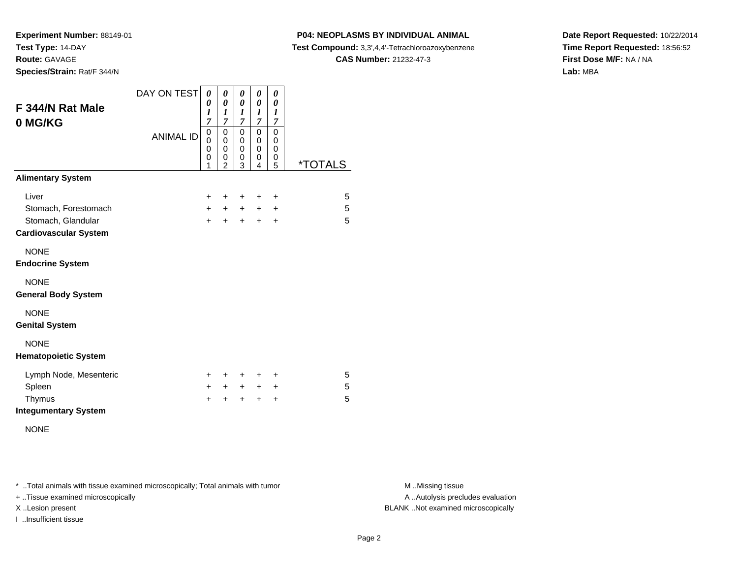**Experiment Number:** 88149-01**Test Type:** 14-DAY

**Route:** GAVAGE

**Species/Strain:** Rat/F 344/N

## **P04: NEOPLASMS BY INDIVIDUAL ANIMAL**

**Test Compound:** 3,3',4,4'-Tetrachloroazoxybenzene

**CAS Number:** 21232-47-3

**Date Report Requested:** 10/22/2014**Time Report Requested:** 18:56:52**First Dose M/F:** NA / NA**Lab:** MBA

| F 344/N Rat Male<br>0 MG/KG  | DAY ON TEST<br><b>ANIMAL ID</b> | 0<br>0<br>1<br>7<br>0   | 0<br>$\pmb{\theta}$<br>1<br>$\overline{7}$<br>0   | 0<br>0<br>$\boldsymbol{l}$<br>7<br>0 | 0<br>0<br>$\boldsymbol{l}$<br>$\overline{7}$<br>0 | 0<br>0<br>$\boldsymbol{l}$<br>$\overline{7}$<br>$\mathbf 0$ |                       |
|------------------------------|---------------------------------|-------------------------|---------------------------------------------------|--------------------------------------|---------------------------------------------------|-------------------------------------------------------------|-----------------------|
|                              |                                 | $\Omega$<br>0<br>0<br>1 | $\mathbf 0$<br>$\mathbf 0$<br>0<br>$\overline{2}$ | $\mathbf 0$<br>$\mathbf 0$<br>0<br>3 | 0<br>$\mathbf 0$<br>0<br>4                        | 0<br>0<br>0<br>5                                            | <i><b>*TOTALS</b></i> |
| <b>Alimentary System</b>     |                                 |                         |                                                   |                                      |                                                   |                                                             |                       |
| Liver                        |                                 | $\ddot{}$               | ÷                                                 | +                                    | ÷                                                 | $\ddot{}$                                                   | 5                     |
| Stomach, Forestomach         |                                 | $+$                     | $+$                                               | $+$                                  | $+$                                               | $\ddot{}$                                                   | 5                     |
| Stomach, Glandular           |                                 | $+$                     | $\ddot{}$                                         | $+$                                  | $\ddot{}$                                         | $\ddot{}$                                                   | 5                     |
| <b>Cardiovascular System</b> |                                 |                         |                                                   |                                      |                                                   |                                                             |                       |
| <b>NONE</b>                  |                                 |                         |                                                   |                                      |                                                   |                                                             |                       |
| <b>Endocrine System</b>      |                                 |                         |                                                   |                                      |                                                   |                                                             |                       |
| <b>NONE</b>                  |                                 |                         |                                                   |                                      |                                                   |                                                             |                       |
| <b>General Body System</b>   |                                 |                         |                                                   |                                      |                                                   |                                                             |                       |
| <b>NONE</b>                  |                                 |                         |                                                   |                                      |                                                   |                                                             |                       |
| <b>Genital System</b>        |                                 |                         |                                                   |                                      |                                                   |                                                             |                       |
| <b>NONE</b>                  |                                 |                         |                                                   |                                      |                                                   |                                                             |                       |
| <b>Hematopoietic System</b>  |                                 |                         |                                                   |                                      |                                                   |                                                             |                       |
| Lymph Node, Mesenteric       |                                 | ٠                       | ÷                                                 | +                                    | ٠                                                 | ÷                                                           | 5                     |
| Spleen                       |                                 | $\ddot{}$               | $+$                                               | $+$                                  | $+$                                               | $+$                                                         | 5                     |
| Thymus                       |                                 | +                       | ÷                                                 | ÷                                    | $\div$                                            | $\div$                                                      | 5                     |
| <b>Integumentary System</b>  |                                 |                         |                                                   |                                      |                                                   |                                                             |                       |

NONE

\* ..Total animals with tissue examined microscopically; Total animals with tumor **M** . Missing tissue M ..Missing tissue

+ ..Tissue examined microscopically

I ..Insufficient tissue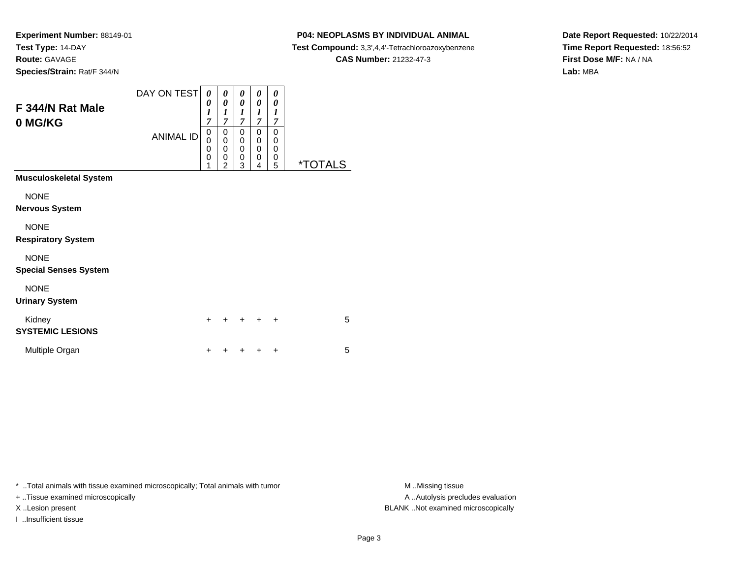#### **P04: NEOPLASMS BY INDIVIDUAL ANIMAL**

**Test Compound:** 3,3',4,4'-Tetrachloroazoxybenzene

**CAS Number:** 21232-47-3

**Date Report Requested:** 10/22/2014**Time Report Requested:** 18:56:52**First Dose M/F:** NA / NA**Lab:** MBA

| F 344/N Rat Male<br>0 MG/KG                 | DAY ON TEST<br><b>ANIMAL ID</b> | 0<br>0<br>$\boldsymbol{l}$<br>$\overline{7}$<br>0<br>$\Omega$<br>$\mathbf 0$<br>$\mathbf 0$<br>1 | 0<br>0<br>$\boldsymbol{l}$<br>$\overline{7}$<br>0<br>$\mathbf 0$<br>$\mathbf{0}$<br>0<br>$\overline{2}$ | 0<br>0<br>$\boldsymbol{l}$<br>$\overline{7}$<br>0<br>0<br>$\mathbf 0$<br>0<br>3 | 0<br>0<br>$\boldsymbol{l}$<br>$\overline{7}$<br>0<br>0<br>$\mathbf 0$<br>0<br>4 | 0<br>0<br>1<br>$\overline{7}$<br>$\Omega$<br>$\Omega$<br>$\Omega$<br>0<br>5 | <i><b>*TOTALS</b></i> |
|---------------------------------------------|---------------------------------|--------------------------------------------------------------------------------------------------|---------------------------------------------------------------------------------------------------------|---------------------------------------------------------------------------------|---------------------------------------------------------------------------------|-----------------------------------------------------------------------------|-----------------------|
| <b>Musculoskeletal System</b>               |                                 |                                                                                                  |                                                                                                         |                                                                                 |                                                                                 |                                                                             |                       |
| <b>NONE</b><br><b>Nervous System</b>        |                                 |                                                                                                  |                                                                                                         |                                                                                 |                                                                                 |                                                                             |                       |
| <b>NONE</b><br><b>Respiratory System</b>    |                                 |                                                                                                  |                                                                                                         |                                                                                 |                                                                                 |                                                                             |                       |
| <b>NONE</b><br><b>Special Senses System</b> |                                 |                                                                                                  |                                                                                                         |                                                                                 |                                                                                 |                                                                             |                       |
| <b>NONE</b><br><b>Urinary System</b>        |                                 |                                                                                                  |                                                                                                         |                                                                                 |                                                                                 |                                                                             |                       |
| Kidney<br><b>SYSTEMIC LESIONS</b>           |                                 | $\ddot{}$                                                                                        |                                                                                                         |                                                                                 |                                                                                 | ÷                                                                           | 5                     |
| Multiple Organ                              |                                 | $\ddot{}$                                                                                        |                                                                                                         |                                                                                 |                                                                                 | $\ddot{}$                                                                   | 5                     |

\* ..Total animals with tissue examined microscopically; Total animals with tumor **M** . Missing tissue M ..Missing tissue

+ ..Tissue examined microscopically

I ..Insufficient tissue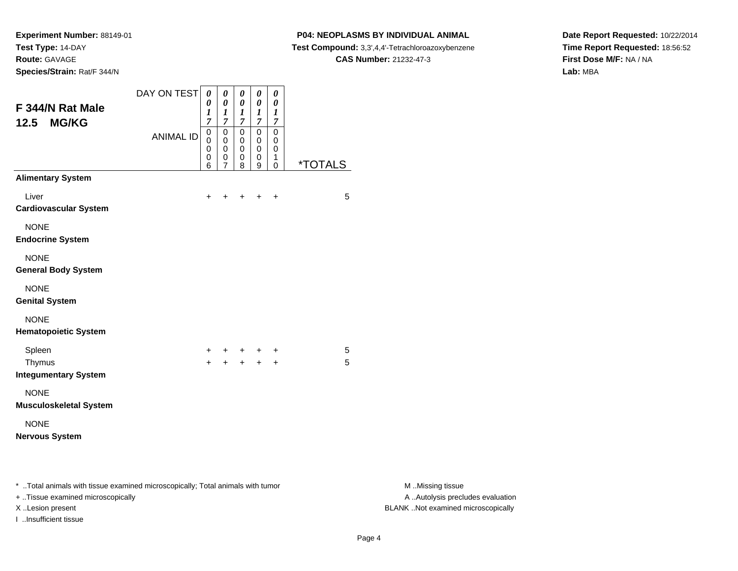**Species/Strain:** Rat/F 344/N

I ..Insufficient tissue

#### **P04: NEOPLASMS BY INDIVIDUAL ANIMAL**

**Test Compound:** 3,3',4,4'-Tetrachloroazoxybenzene

**CAS Number:** 21232-47-3

**Date Report Requested:** 10/22/2014**Time Report Requested:** 18:56:52**First Dose M/F:** NA / NA**Lab:** MBA

| F 344/N Rat Male                                                               | DAY ON TEST      | $\boldsymbol{\theta}$<br>0<br>1 | $\pmb{\theta}$<br>$\pmb{\theta}$<br>$\boldsymbol{l}$ | $\pmb{\theta}$<br>$\pmb{\theta}$<br>$\boldsymbol{l}$ | $\boldsymbol{\theta}$<br>$\pmb{\theta}$<br>$\boldsymbol{l}$ | $\pmb{\theta}$<br>0<br>$\boldsymbol{l}$ |                       |                                   |
|--------------------------------------------------------------------------------|------------------|---------------------------------|------------------------------------------------------|------------------------------------------------------|-------------------------------------------------------------|-----------------------------------------|-----------------------|-----------------------------------|
| <b>MG/KG</b><br>12.5                                                           |                  | $\overline{7}$                  | $\overline{7}$                                       | $\overline{7}$                                       | $\overline{7}$                                              | $\boldsymbol{7}$                        |                       |                                   |
|                                                                                | <b>ANIMAL ID</b> | $\boldsymbol{0}$<br>$\mathbf 0$ | $\pmb{0}$<br>$\mathbf 0$                             | $\overline{0}$<br>$\mathbf 0$                        | $\overline{0}$<br>$\mathbf 0$                               | $\overline{0}$<br>$\mathbf 0$           |                       |                                   |
|                                                                                |                  | 0<br>0                          | $\pmb{0}$<br>$\mathbf 0$                             | $\mathbf 0$<br>$\mathbf 0$                           | $\pmb{0}$<br>$_{9}^{\rm 0}$                                 | $\mathbf 0$<br>$\mathbf{1}$             |                       |                                   |
| <b>Alimentary System</b>                                                       |                  | 6                               | $\overline{7}$                                       | 8                                                    |                                                             | $\mathsf 0$                             | <i><b>*TOTALS</b></i> |                                   |
| Liver                                                                          |                  | $\ddot{}$                       | $\ddot{}$                                            | $\ddot{}$                                            | $\ddot{+}$                                                  | $\ddot{}$                               | 5                     |                                   |
| <b>Cardiovascular System</b>                                                   |                  |                                 |                                                      |                                                      |                                                             |                                         |                       |                                   |
| <b>NONE</b>                                                                    |                  |                                 |                                                      |                                                      |                                                             |                                         |                       |                                   |
| <b>Endocrine System</b>                                                        |                  |                                 |                                                      |                                                      |                                                             |                                         |                       |                                   |
| <b>NONE</b>                                                                    |                  |                                 |                                                      |                                                      |                                                             |                                         |                       |                                   |
| <b>General Body System</b>                                                     |                  |                                 |                                                      |                                                      |                                                             |                                         |                       |                                   |
| <b>NONE</b>                                                                    |                  |                                 |                                                      |                                                      |                                                             |                                         |                       |                                   |
| <b>Genital System</b>                                                          |                  |                                 |                                                      |                                                      |                                                             |                                         |                       |                                   |
| <b>NONE</b>                                                                    |                  |                                 |                                                      |                                                      |                                                             |                                         |                       |                                   |
| <b>Hematopoietic System</b>                                                    |                  |                                 |                                                      |                                                      |                                                             |                                         |                       |                                   |
| Spleen                                                                         |                  |                                 |                                                      |                                                      | +                                                           | $\ddot{}$                               | 5                     |                                   |
| Thymus                                                                         |                  | $\ddot{}$                       | $\ddot{}$                                            | $+$                                                  | $\ddot{}$                                                   | $\ddot{}$                               | 5                     |                                   |
| <b>Integumentary System</b>                                                    |                  |                                 |                                                      |                                                      |                                                             |                                         |                       |                                   |
| <b>NONE</b>                                                                    |                  |                                 |                                                      |                                                      |                                                             |                                         |                       |                                   |
| <b>Musculoskeletal System</b>                                                  |                  |                                 |                                                      |                                                      |                                                             |                                         |                       |                                   |
| <b>NONE</b>                                                                    |                  |                                 |                                                      |                                                      |                                                             |                                         |                       |                                   |
| <b>Nervous System</b>                                                          |                  |                                 |                                                      |                                                      |                                                             |                                         |                       |                                   |
| * Total animals with tissue examined microscopically; Total animals with tumor |                  |                                 |                                                      |                                                      |                                                             |                                         |                       | M Missing tissue                  |
| + Tissue examined microscopically                                              |                  |                                 |                                                      |                                                      |                                                             |                                         |                       | A  Autolysis precludes evaluation |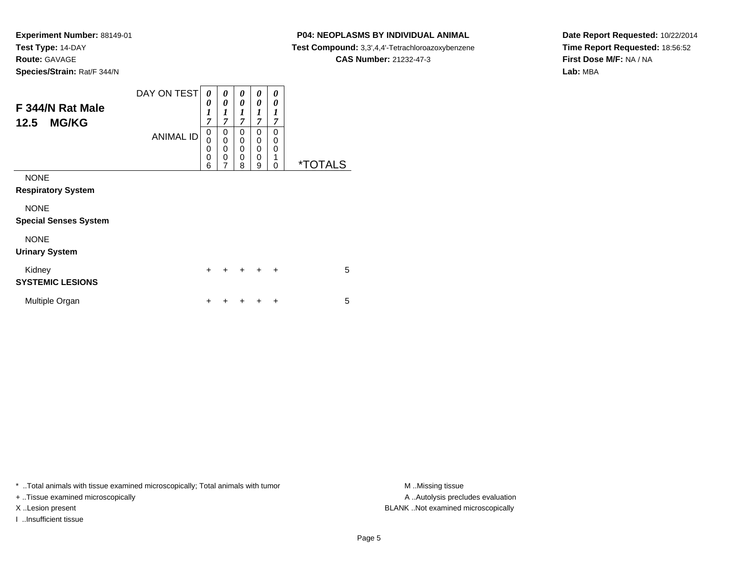#### **P04: NEOPLASMS BY INDIVIDUAL ANIMAL**

**Test Compound:** 3,3',4,4'-Tetrachloroazoxybenzene

**CAS Number:** 21232-47-3

**Date Report Requested:** 10/22/2014**Time Report Requested:** 18:56:52**First Dose M/F:** NA / NA**Lab:** MBA

| F 344/N Rat Male<br><b>MG/KG</b><br>12.5    | DAY ON TEST<br><b>ANIMAL ID</b> | 0<br>0<br>$\boldsymbol{l}$<br>$\overline{7}$<br>0<br>$\mathbf 0$<br>0<br>0 | 0<br>0<br>1<br>7<br>0<br>0<br>0<br>0 | 0<br>0<br>1<br>7<br>0<br>$\mathbf 0$<br>$\mathbf 0$<br>$\mathbf 0$ | 0<br>0<br>$\boldsymbol{l}$<br>7<br>$\Omega$<br>$\Omega$<br>0<br>0 | 0<br>0<br>1<br>$\overline{7}$<br>0<br>0<br>0<br>1 |                       |
|---------------------------------------------|---------------------------------|----------------------------------------------------------------------------|--------------------------------------|--------------------------------------------------------------------|-------------------------------------------------------------------|---------------------------------------------------|-----------------------|
|                                             |                                 | 6                                                                          | $\overline{7}$                       | 8                                                                  | 9                                                                 | 0                                                 | <i><b>*TOTALS</b></i> |
| <b>NONE</b><br><b>Respiratory System</b>    |                                 |                                                                            |                                      |                                                                    |                                                                   |                                                   |                       |
| <b>NONE</b><br><b>Special Senses System</b> |                                 |                                                                            |                                      |                                                                    |                                                                   |                                                   |                       |
| <b>NONE</b><br><b>Urinary System</b>        |                                 |                                                                            |                                      |                                                                    |                                                                   |                                                   |                       |
| Kidney<br><b>SYSTEMIC LESIONS</b>           |                                 | $\ddot{}$                                                                  | $\div$                               | $\ddot{}$                                                          | $\ddot{}$                                                         | $\ddot{}$                                         | 5                     |
| Multiple Organ                              |                                 | +                                                                          |                                      |                                                                    |                                                                   | ÷                                                 | 5                     |

\* ..Total animals with tissue examined microscopically; Total animals with tumor **M** . Missing tissue M ..Missing tissue

+ ..Tissue examined microscopically

I ..Insufficient tissue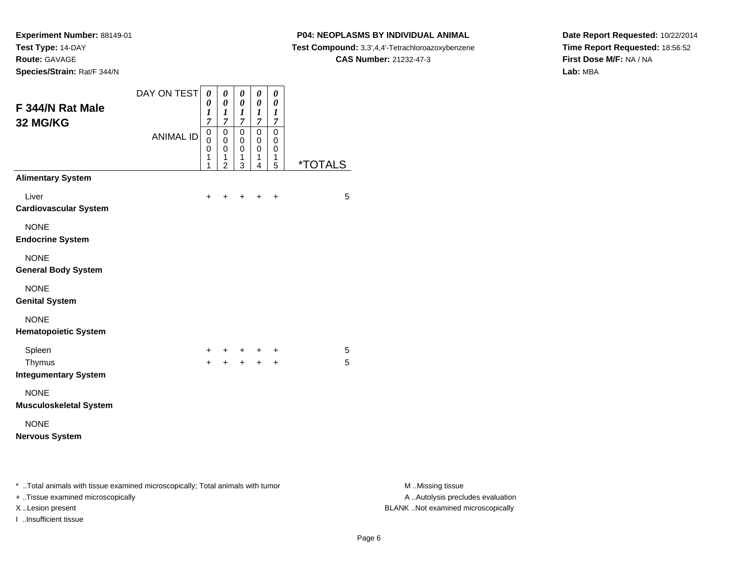#### **P04: NEOPLASMS BY INDIVIDUAL ANIMAL**

**Test Compound:** 3,3',4,4'-Tetrachloroazoxybenzene

**CAS Number:** 21232-47-3

**Date Report Requested:** 10/22/2014**Time Report Requested:** 18:56:52**First Dose M/F:** NA / NA**Lab:** MBA

| F 344/N Rat Male<br>32 MG/KG                                                                                        | DAY ON TEST      | $\boldsymbol{\theta}$<br>0<br>1<br>7<br>$\boldsymbol{0}$ | $\boldsymbol{\theta}$<br>0<br>$\boldsymbol{l}$<br>$\overline{7}$<br>$\overline{0}$ | $\pmb{\theta}$<br>$\pmb{\theta}$<br>$\boldsymbol{l}$<br>$\overline{7}$<br>$\pmb{0}$ | $\boldsymbol{\theta}$<br>$\pmb{\theta}$<br>$\boldsymbol{l}$<br>$\boldsymbol{7}$<br>$\overline{0}$ | $\pmb{\theta}$<br>0<br>$\boldsymbol{l}$<br>$\boldsymbol{7}$<br>$\mathbf 0$ |                       |                                                       |
|---------------------------------------------------------------------------------------------------------------------|------------------|----------------------------------------------------------|------------------------------------------------------------------------------------|-------------------------------------------------------------------------------------|---------------------------------------------------------------------------------------------------|----------------------------------------------------------------------------|-----------------------|-------------------------------------------------------|
|                                                                                                                     | <b>ANIMAL ID</b> | 0<br>0<br>1<br>1                                         | $\mathbf 0$<br>0<br>1<br>$\overline{2}$                                            | 0<br>$\mathbf 0$<br>$\overline{1}$<br>$\sqrt{3}$                                    | 0<br>0<br>1<br>4                                                                                  | $\mathbf 0$<br>$\mathbf 0$<br>$\mathbf{1}$<br>5                            | <i><b>*TOTALS</b></i> |                                                       |
| <b>Alimentary System</b>                                                                                            |                  |                                                          |                                                                                    |                                                                                     |                                                                                                   |                                                                            |                       |                                                       |
| Liver<br><b>Cardiovascular System</b>                                                                               |                  | $\ddot{}$                                                |                                                                                    |                                                                                     | $\ddot{}$                                                                                         | $\ddot{}$                                                                  | 5                     |                                                       |
| <b>NONE</b><br><b>Endocrine System</b>                                                                              |                  |                                                          |                                                                                    |                                                                                     |                                                                                                   |                                                                            |                       |                                                       |
| <b>NONE</b><br><b>General Body System</b>                                                                           |                  |                                                          |                                                                                    |                                                                                     |                                                                                                   |                                                                            |                       |                                                       |
| <b>NONE</b><br><b>Genital System</b>                                                                                |                  |                                                          |                                                                                    |                                                                                     |                                                                                                   |                                                                            |                       |                                                       |
| <b>NONE</b><br><b>Hematopoietic System</b>                                                                          |                  |                                                          |                                                                                    |                                                                                     |                                                                                                   |                                                                            |                       |                                                       |
| Spleen                                                                                                              |                  | +                                                        |                                                                                    | +                                                                                   | $+$                                                                                               | +                                                                          | 5                     |                                                       |
| Thymus<br><b>Integumentary System</b>                                                                               |                  | $+$                                                      | $+$                                                                                |                                                                                     | $+$ $+$                                                                                           | $\ddot{}$                                                                  | 5                     |                                                       |
| <b>NONE</b><br><b>Musculoskeletal System</b>                                                                        |                  |                                                          |                                                                                    |                                                                                     |                                                                                                   |                                                                            |                       |                                                       |
| <b>NONE</b>                                                                                                         |                  |                                                          |                                                                                    |                                                                                     |                                                                                                   |                                                                            |                       |                                                       |
| <b>Nervous System</b>                                                                                               |                  |                                                          |                                                                                    |                                                                                     |                                                                                                   |                                                                            |                       |                                                       |
| * Total animals with tissue examined microscopically; Total animals with tumor<br>+ Tissue examined microscopically |                  |                                                          |                                                                                    |                                                                                     |                                                                                                   |                                                                            |                       | M Missing tissue<br>A  Autolysis precludes evaluation |

I ..Insufficient tissue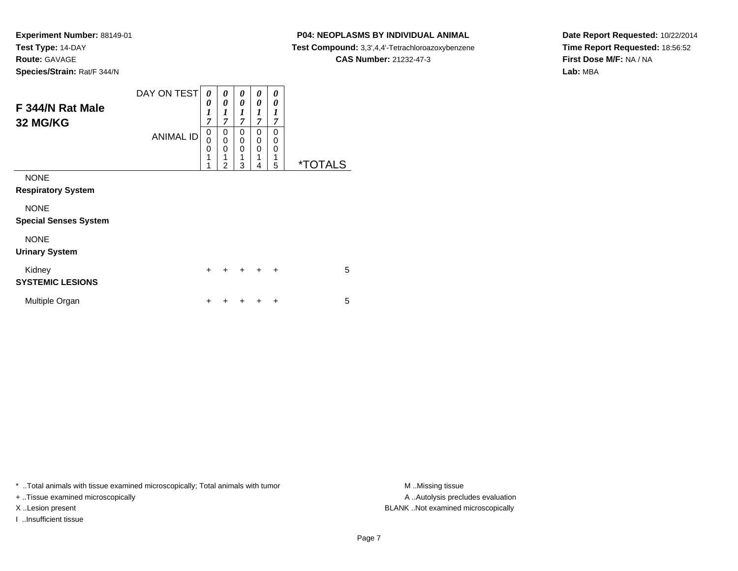### **P04: NEOPLASMS BY INDIVIDUAL ANIMAL**

**Test Compound:** 3,3',4,4'-Tetrachloroazoxybenzene

**CAS Number:** 21232-47-3

**Date Report Requested:** 10/22/2014**Time Report Requested:** 18:56:52**First Dose M/F:** NA / NA**Lab:** MBA

| F 344/N Rat Male<br>32 MG/KG                | DAY ON TEST      | 0<br>0<br>1<br>7      | 0<br>0<br>1<br>$\overline{7}$ | 0<br>0<br>1<br>7      | 0<br>0<br>1<br>$\overline{7}$                       | 0<br>0<br>1<br>7      |                       |
|---------------------------------------------|------------------|-----------------------|-------------------------------|-----------------------|-----------------------------------------------------|-----------------------|-----------------------|
|                                             | <b>ANIMAL ID</b> | 0<br>0<br>0<br>1<br>1 | 0<br>0<br>0<br>1<br>2         | 0<br>0<br>0<br>1<br>3 | $\mathbf 0$<br>$\mathbf 0$<br>$\mathbf 0$<br>1<br>4 | 0<br>0<br>0<br>1<br>5 | <i><b>*TOTALS</b></i> |
| <b>NONE</b>                                 |                  |                       |                               |                       |                                                     |                       |                       |
| <b>Respiratory System</b>                   |                  |                       |                               |                       |                                                     |                       |                       |
| <b>NONE</b><br><b>Special Senses System</b> |                  |                       |                               |                       |                                                     |                       |                       |
| <b>NONE</b>                                 |                  |                       |                               |                       |                                                     |                       |                       |
| <b>Urinary System</b>                       |                  |                       |                               |                       |                                                     |                       |                       |
| Kidney<br><b>SYSTEMIC LESIONS</b>           |                  | $\ddot{}$             | +                             | $\ddot{}$             | $\ddot{}$                                           | $\ddot{}$             | 5                     |
| Multiple Organ                              |                  | ÷                     |                               |                       | ÷                                                   | ÷                     | 5                     |

\* ..Total animals with tissue examined microscopically; Total animals with tumor **M** . Missing tissue M ..Missing tissue

+ ..Tissue examined microscopically

I ..Insufficient tissue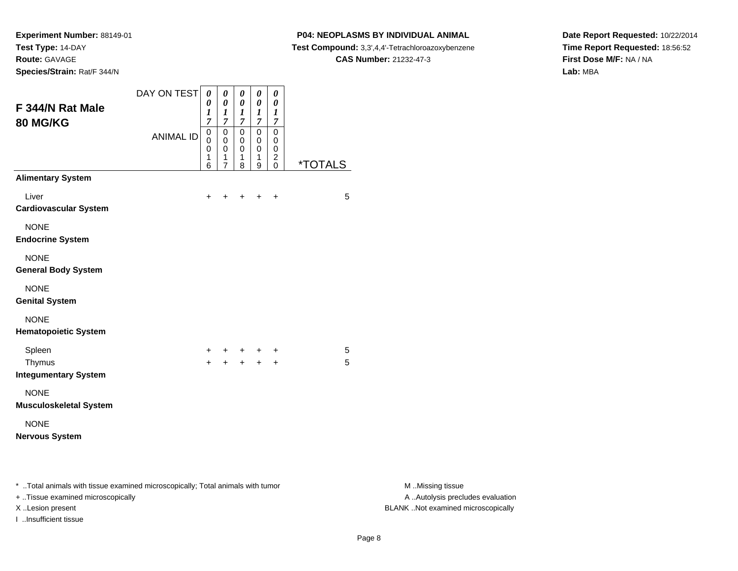**Species/Strain:** Rat/F 344/N

I ..Insufficient tissue

### **P04: NEOPLASMS BY INDIVIDUAL ANIMAL**

**Test Compound:** 3,3',4,4'-Tetrachloroazoxybenzene

**CAS Number:** 21232-47-3

**Date Report Requested:** 10/22/2014**Time Report Requested:** 18:56:52**First Dose M/F:** NA / NA**Lab:** MBA

| F 344/N Rat Male<br>80 MG/KG                                                                                        | DAY ON TEST      | $\boldsymbol{\theta}$<br>0<br>$\boldsymbol{l}$<br>7 | 0<br>$\pmb{\theta}$<br>$\boldsymbol{l}$<br>$\overline{7}$ | $\pmb{\theta}$<br>$\pmb{\theta}$<br>$\boldsymbol{l}$<br>$\boldsymbol{7}$ | $\pmb{\theta}$<br>$\pmb{\theta}$<br>$\boldsymbol{l}$<br>$\overline{7}$ | $\pmb{\theta}$<br>$\boldsymbol{\theta}$<br>$\boldsymbol{l}$<br>$\boldsymbol{7}$ |                       |                                                       |
|---------------------------------------------------------------------------------------------------------------------|------------------|-----------------------------------------------------|-----------------------------------------------------------|--------------------------------------------------------------------------|------------------------------------------------------------------------|---------------------------------------------------------------------------------|-----------------------|-------------------------------------------------------|
|                                                                                                                     | <b>ANIMAL ID</b> | $\pmb{0}$<br>0<br>0<br>1<br>6                       | $\overline{0}$<br>$\ddot{\mathbf{0}}$<br>0<br>1<br>7      | $\mathsf 0$<br>0<br>0<br>1<br>8                                          | $\overline{0}$<br>$\pmb{0}$<br>0<br>1<br>$\boldsymbol{9}$              | $\mathbf 0$<br>0<br>$\mathbf 0$<br>$^2_{\rm 0}$                                 | <i><b>*TOTALS</b></i> |                                                       |
| <b>Alimentary System</b>                                                                                            |                  |                                                     |                                                           |                                                                          |                                                                        |                                                                                 |                       |                                                       |
| Liver<br><b>Cardiovascular System</b>                                                                               |                  | +                                                   |                                                           |                                                                          |                                                                        | $\ddot{}$                                                                       | 5                     |                                                       |
| <b>NONE</b><br><b>Endocrine System</b>                                                                              |                  |                                                     |                                                           |                                                                          |                                                                        |                                                                                 |                       |                                                       |
| <b>NONE</b><br><b>General Body System</b>                                                                           |                  |                                                     |                                                           |                                                                          |                                                                        |                                                                                 |                       |                                                       |
| <b>NONE</b><br><b>Genital System</b>                                                                                |                  |                                                     |                                                           |                                                                          |                                                                        |                                                                                 |                       |                                                       |
| <b>NONE</b><br><b>Hematopoietic System</b>                                                                          |                  |                                                     |                                                           |                                                                          |                                                                        |                                                                                 |                       |                                                       |
| Spleen                                                                                                              |                  |                                                     |                                                           |                                                                          |                                                                        | +                                                                               | 5                     |                                                       |
| Thymus<br><b>Integumentary System</b>                                                                               |                  | $+$                                                 |                                                           |                                                                          | $\ddot{}$                                                              | $\ddot{}$                                                                       | 5                     |                                                       |
| <b>NONE</b>                                                                                                         |                  |                                                     |                                                           |                                                                          |                                                                        |                                                                                 |                       |                                                       |
| <b>Musculoskeletal System</b>                                                                                       |                  |                                                     |                                                           |                                                                          |                                                                        |                                                                                 |                       |                                                       |
| <b>NONE</b>                                                                                                         |                  |                                                     |                                                           |                                                                          |                                                                        |                                                                                 |                       |                                                       |
| <b>Nervous System</b>                                                                                               |                  |                                                     |                                                           |                                                                          |                                                                        |                                                                                 |                       |                                                       |
| * Total animals with tissue examined microscopically; Total animals with tumor<br>+ Tissue examined microscopically |                  |                                                     |                                                           |                                                                          |                                                                        |                                                                                 |                       | M Missing tissue<br>A  Autolysis precludes evaluation |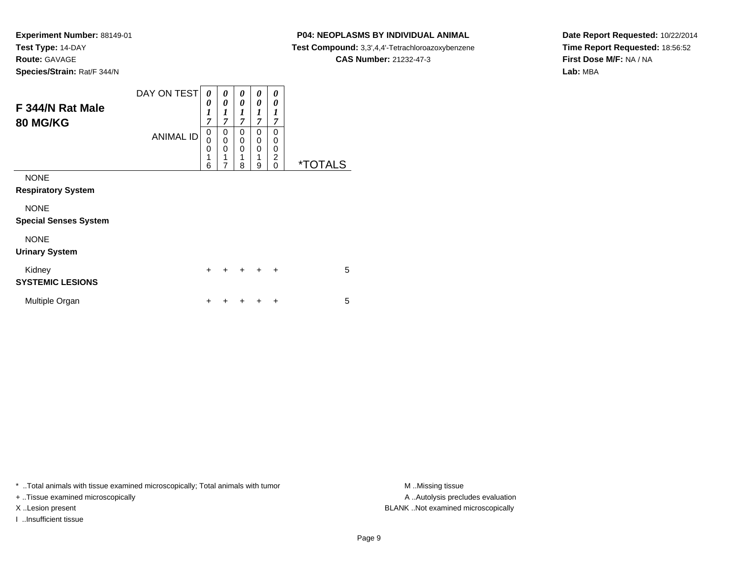### **P04: NEOPLASMS BY INDIVIDUAL ANIMAL**

**Test Compound:** 3,3',4,4'-Tetrachloroazoxybenzene

**CAS Number:** 21232-47-3

**Date Report Requested:** 10/22/2014**Time Report Requested:** 18:56:52**First Dose M/F:** NA / NA**Lab:** MBA

| F 344/N Rat Male<br><b>80 MG/KG</b>         | DAY ON TEST<br><b>ANIMAL ID</b> | 0<br>0<br>1<br>$\overline{7}$<br>0<br>0 | 0<br>0<br>1<br>$\overline{7}$<br>0<br>0 | 0<br>0<br>1<br>$\overline{7}$<br>0<br>0 | 0<br>0<br>1<br>$\overline{7}$<br>0<br>0 | 0<br>0<br>1<br>7<br>0<br>0 |                       |
|---------------------------------------------|---------------------------------|-----------------------------------------|-----------------------------------------|-----------------------------------------|-----------------------------------------|----------------------------|-----------------------|
|                                             |                                 | 0<br>1<br>6                             | $\mathbf 0$<br>1<br>7                   | $\Omega$<br>1<br>8                      | $\mathbf 0$<br>1<br>9                   | 0<br>2<br>$\Omega$         | <i><b>*TOTALS</b></i> |
| <b>NONE</b><br><b>Respiratory System</b>    |                                 |                                         |                                         |                                         |                                         |                            |                       |
| <b>NONE</b><br><b>Special Senses System</b> |                                 |                                         |                                         |                                         |                                         |                            |                       |
| <b>NONE</b><br><b>Urinary System</b>        |                                 |                                         |                                         |                                         |                                         |                            |                       |
| Kidney<br><b>SYSTEMIC LESIONS</b>           |                                 | $\ddot{}$                               | +                                       | $\ddot{}$                               | $\ddot{}$                               | $\ddot{}$                  | 5                     |
| Multiple Organ                              |                                 | ÷                                       |                                         |                                         | +                                       | ÷                          | 5                     |

\* ..Total animals with tissue examined microscopically; Total animals with tumor **M** . Missing tissue M ..Missing tissue

+ ..Tissue examined microscopically

I ..Insufficient tissue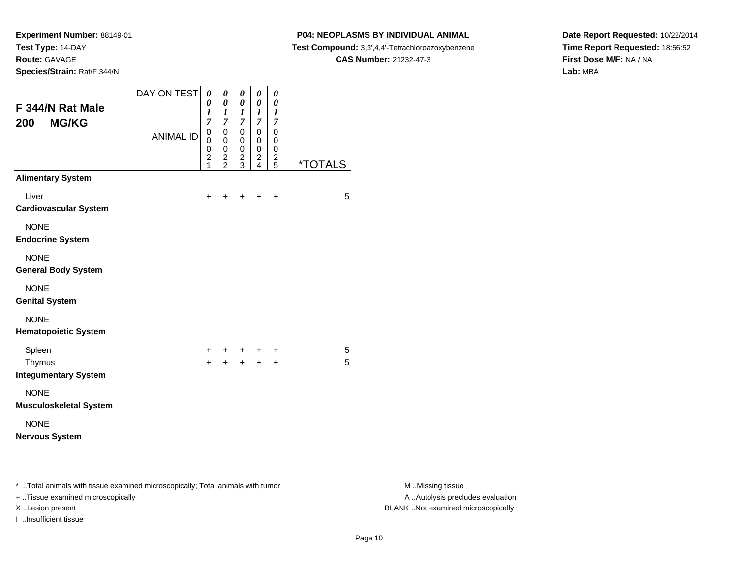**Species/Strain:** Rat/F 344/N

I ..Insufficient tissue

### **P04: NEOPLASMS BY INDIVIDUAL ANIMAL**

**Test Compound:** 3,3',4,4'-Tetrachloroazoxybenzene

**CAS Number:** 21232-47-3

**Date Report Requested:** 10/22/2014**Time Report Requested:** 18:56:52**First Dose M/F:** NA / NA**Lab:** MBA

| F 344/N Rat Male<br><b>MG/KG</b><br>200                                                                             | DAY ON TEST<br><b>ANIMAL ID</b> | $\boldsymbol{\theta}$<br>0<br>$\boldsymbol{l}$<br>7<br>$\,0\,$<br>0<br>0<br>$\overline{\mathbf{c}}$ | 0<br>$\boldsymbol{\theta}$<br>1<br>$\overline{7}$<br>$\pmb{0}$<br>0<br>$\pmb{0}$ | $\pmb{\theta}$<br>$\boldsymbol{\theta}$<br>$\boldsymbol{l}$<br>$\overline{7}$<br>$\pmb{0}$<br>0<br>$\pmb{0}$ | $\pmb{\theta}$<br>$\pmb{\theta}$<br>$\boldsymbol{l}$<br>$\boldsymbol{7}$<br>$\overline{0}$<br>0<br>$\mathbf 0$ | $\pmb{\theta}$<br>0<br>$\boldsymbol{l}$<br>$\boldsymbol{7}$<br>$\pmb{0}$<br>0<br>0 |                       |                                                       |
|---------------------------------------------------------------------------------------------------------------------|---------------------------------|-----------------------------------------------------------------------------------------------------|----------------------------------------------------------------------------------|--------------------------------------------------------------------------------------------------------------|----------------------------------------------------------------------------------------------------------------|------------------------------------------------------------------------------------|-----------------------|-------------------------------------------------------|
|                                                                                                                     |                                 | 1                                                                                                   | $\frac{2}{2}$                                                                    | $\frac{2}{3}$                                                                                                | $\frac{2}{4}$                                                                                                  | $\frac{2}{5}$                                                                      | <i><b>*TOTALS</b></i> |                                                       |
| <b>Alimentary System</b>                                                                                            |                                 |                                                                                                     |                                                                                  |                                                                                                              |                                                                                                                |                                                                                    |                       |                                                       |
| Liver<br><b>Cardiovascular System</b>                                                                               |                                 | $\ddot{}$                                                                                           | $\ddot{}$                                                                        | $+$                                                                                                          | $+$                                                                                                            | $\ddot{}$                                                                          | 5                     |                                                       |
| <b>NONE</b><br><b>Endocrine System</b>                                                                              |                                 |                                                                                                     |                                                                                  |                                                                                                              |                                                                                                                |                                                                                    |                       |                                                       |
| <b>NONE</b><br><b>General Body System</b>                                                                           |                                 |                                                                                                     |                                                                                  |                                                                                                              |                                                                                                                |                                                                                    |                       |                                                       |
| <b>NONE</b><br><b>Genital System</b>                                                                                |                                 |                                                                                                     |                                                                                  |                                                                                                              |                                                                                                                |                                                                                    |                       |                                                       |
| <b>NONE</b><br><b>Hematopoietic System</b>                                                                          |                                 |                                                                                                     |                                                                                  |                                                                                                              |                                                                                                                |                                                                                    |                       |                                                       |
| Spleen                                                                                                              |                                 | +                                                                                                   |                                                                                  |                                                                                                              | $+$                                                                                                            | $\ddot{}$                                                                          | 5                     |                                                       |
| Thymus<br><b>Integumentary System</b>                                                                               |                                 | $\ddot{}$                                                                                           | $\ddot{+}$                                                                       | $+$                                                                                                          | $+$                                                                                                            | $\ddot{}$                                                                          | 5                     |                                                       |
| <b>NONE</b><br><b>Musculoskeletal System</b>                                                                        |                                 |                                                                                                     |                                                                                  |                                                                                                              |                                                                                                                |                                                                                    |                       |                                                       |
| <b>NONE</b>                                                                                                         |                                 |                                                                                                     |                                                                                  |                                                                                                              |                                                                                                                |                                                                                    |                       |                                                       |
| <b>Nervous System</b>                                                                                               |                                 |                                                                                                     |                                                                                  |                                                                                                              |                                                                                                                |                                                                                    |                       |                                                       |
| * Total animals with tissue examined microscopically; Total animals with tumor<br>+ Tissue examined microscopically |                                 |                                                                                                     |                                                                                  |                                                                                                              |                                                                                                                |                                                                                    |                       | M Missing tissue<br>A  Autolysis precludes evaluation |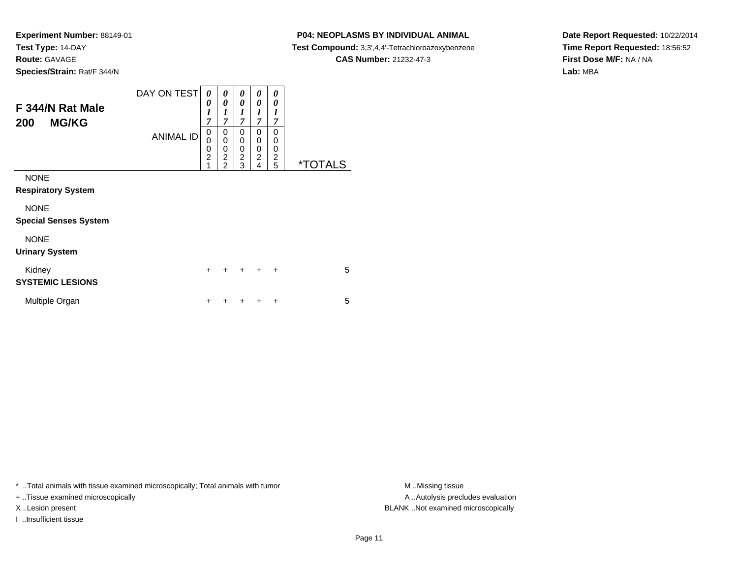### **P04: NEOPLASMS BY INDIVIDUAL ANIMAL**

**Test Compound:** 3,3',4,4'-Tetrachloroazoxybenzene

**CAS Number:** 21232-47-3

**Date Report Requested:** 10/22/2014**Time Report Requested:** 18:56:52**First Dose M/F:** NA / NA**Lab:** MBA

| F 344/N Rat Male<br><b>MG/KG</b><br>200     | DAY ON TEST<br><b>ANIMAL ID</b> | 0<br>0<br>$\boldsymbol{l}$<br>$\overline{7}$<br>0<br>0<br>$\mathbf 0$<br>$\overline{2}$<br>1 | 0<br>0<br>1<br>$\overline{7}$<br>0<br>$\mathbf 0$<br>0<br>$\overline{c}$<br>$\mathfrak{p}$ | 0<br>0<br>1<br>$\overline{7}$<br>0<br>0<br>0<br>$\overline{\mathbf{c}}$<br>3 | 0<br>0<br>1<br>$\overline{7}$<br>0<br>0<br>0<br>2<br>4 | 0<br>0<br>1<br>7<br>$\Omega$<br>$\mathbf 0$<br>0<br>$\overline{\mathbf{c}}$<br>5 | <i><b>*TOTALS</b></i> |
|---------------------------------------------|---------------------------------|----------------------------------------------------------------------------------------------|--------------------------------------------------------------------------------------------|------------------------------------------------------------------------------|--------------------------------------------------------|----------------------------------------------------------------------------------|-----------------------|
| <b>NONE</b><br><b>Respiratory System</b>    |                                 |                                                                                              |                                                                                            |                                                                              |                                                        |                                                                                  |                       |
| <b>NONE</b><br><b>Special Senses System</b> |                                 |                                                                                              |                                                                                            |                                                                              |                                                        |                                                                                  |                       |
| <b>NONE</b><br><b>Urinary System</b>        |                                 |                                                                                              |                                                                                            |                                                                              |                                                        |                                                                                  |                       |
| Kidney<br><b>SYSTEMIC LESIONS</b>           |                                 | $\ddot{}$                                                                                    | +                                                                                          | $\ddot{}$                                                                    | $\ddot{}$                                              | $\ddot{}$                                                                        | 5                     |
| Multiple Organ                              |                                 | ٠                                                                                            |                                                                                            |                                                                              |                                                        | ÷                                                                                | 5                     |

\* ..Total animals with tissue examined microscopically; Total animals with tumor **M** . Missing tissue M ..Missing tissue

+ ..Tissue examined microscopically

I ..Insufficient tissue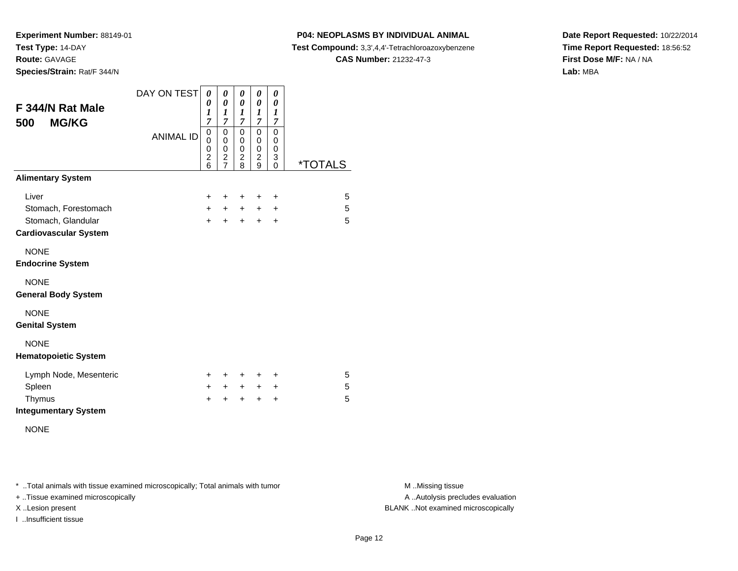**Species/Strain:** Rat/F 344/N

### **P04: NEOPLASMS BY INDIVIDUAL ANIMAL**

**Test Compound:** 3,3',4,4'-Tetrachloroazoxybenzene

**CAS Number:** 21232-47-3

**Date Report Requested:** 10/22/2014**Time Report Requested:** 18:56:52**First Dose M/F:** NA / NA**Lab:** MBA

| F 344/N Rat Male<br><b>MG/KG</b><br>500 | DAY ON TEST<br><b>ANIMAL ID</b> | 0<br>0<br>1<br>$\overline{7}$<br>0<br>$\mathbf 0$<br>0<br>$\overline{c}$<br>6 | 0<br>0<br>1<br>7<br>$\mathbf 0$<br>0<br>$\mathbf 0$<br>$\overline{c}$<br>$\overline{7}$ | 0<br>$\pmb{\theta}$<br>$\boldsymbol{l}$<br>$\overline{7}$<br>0<br>0<br>0<br>$\frac{2}{8}$ | 0<br>$\boldsymbol{\theta}$<br>1<br>$\overline{7}$<br>$\mathbf 0$<br>0<br>$\pmb{0}$<br>$\frac{2}{9}$ | 0<br>0<br>1<br>7<br>$\mathbf 0$<br>0<br>$\mathbf 0$<br>3<br>$\overline{0}$ | <i><b>*TOTALS</b></i> |
|-----------------------------------------|---------------------------------|-------------------------------------------------------------------------------|-----------------------------------------------------------------------------------------|-------------------------------------------------------------------------------------------|-----------------------------------------------------------------------------------------------------|----------------------------------------------------------------------------|-----------------------|
| <b>Alimentary System</b>                |                                 |                                                                               |                                                                                         |                                                                                           |                                                                                                     |                                                                            |                       |
| Liver                                   |                                 | $\ddot{}$                                                                     | ÷                                                                                       | $\ddot{}$                                                                                 | ÷                                                                                                   | $\ddot{}$                                                                  | 5                     |
| Stomach, Forestomach                    |                                 | $+$                                                                           | $+$                                                                                     | $+$                                                                                       | $+$                                                                                                 | $\ddot{}$                                                                  | 5                     |
| Stomach, Glandular                      |                                 | $+$                                                                           | $+$                                                                                     | $+$                                                                                       | $\pm$                                                                                               | $\ddot{}$                                                                  | 5                     |
| <b>Cardiovascular System</b>            |                                 |                                                                               |                                                                                         |                                                                                           |                                                                                                     |                                                                            |                       |
| <b>NONE</b>                             |                                 |                                                                               |                                                                                         |                                                                                           |                                                                                                     |                                                                            |                       |
| <b>Endocrine System</b>                 |                                 |                                                                               |                                                                                         |                                                                                           |                                                                                                     |                                                                            |                       |
| <b>NONE</b>                             |                                 |                                                                               |                                                                                         |                                                                                           |                                                                                                     |                                                                            |                       |
| <b>General Body System</b>              |                                 |                                                                               |                                                                                         |                                                                                           |                                                                                                     |                                                                            |                       |
| <b>NONE</b>                             |                                 |                                                                               |                                                                                         |                                                                                           |                                                                                                     |                                                                            |                       |
| <b>Genital System</b>                   |                                 |                                                                               |                                                                                         |                                                                                           |                                                                                                     |                                                                            |                       |
| <b>NONE</b>                             |                                 |                                                                               |                                                                                         |                                                                                           |                                                                                                     |                                                                            |                       |
| <b>Hematopoietic System</b>             |                                 |                                                                               |                                                                                         |                                                                                           |                                                                                                     |                                                                            |                       |
| Lymph Node, Mesenteric                  |                                 | +                                                                             | ÷                                                                                       | +                                                                                         | +                                                                                                   | ÷                                                                          | 5                     |
| Spleen                                  |                                 | $+$                                                                           | $+$                                                                                     | $+$                                                                                       | $+$                                                                                                 | $\ddot{}$                                                                  | 5                     |
| Thymus                                  |                                 | $\ddot{}$                                                                     | $\ddot{}$                                                                               | $\ddot{}$                                                                                 | $\ddot{}$                                                                                           | $\ddot{}$                                                                  | 5                     |
| <b>Integumentary System</b>             |                                 |                                                                               |                                                                                         |                                                                                           |                                                                                                     |                                                                            |                       |

NONE

\* ..Total animals with tissue examined microscopically; Total animals with tumor **M** . Missing tissue M ..Missing tissue

+ ..Tissue examined microscopically

I ..Insufficient tissue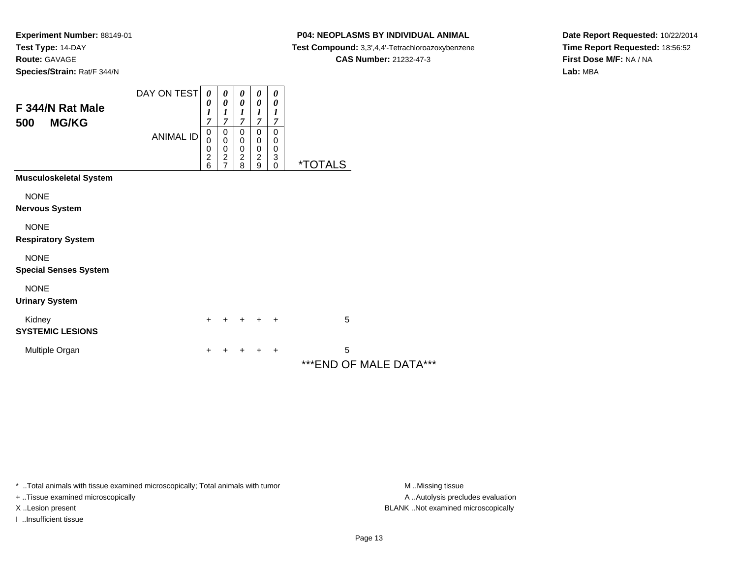### **P04: NEOPLASMS BY INDIVIDUAL ANIMAL**

**Test Compound:** 3,3',4,4'-Tetrachloroazoxybenzene

**CAS Number:** 21232-47-3

**Date Report Requested:** 10/22/2014**Time Report Requested:** 18:56:52**First Dose M/F:** NA / NA**Lab:** MBA

| F 344/N Rat Male<br><b>MG/KG</b><br>500     | DAY ON TEST<br><b>ANIMAL ID</b> | 0<br>0<br>$\boldsymbol{l}$<br>$\overline{7}$<br>0<br>$\mathbf 0$<br>$\begin{array}{c} 0 \\ 2 \\ 6 \end{array}$ | 0<br>0<br>1<br>$\overline{7}$<br>0<br>$\pmb{0}$<br>0<br>$\frac{2}{7}$ | 0<br>$\boldsymbol{\theta}$<br>$\boldsymbol{l}$<br>7<br>0<br>0<br>$\begin{array}{c} 0 \\ 2 \\ 8 \end{array}$ | 0<br>0<br>1<br>$\overline{7}$<br>0<br>0<br>0<br>$\frac{2}{9}$ | 0<br>0<br>1<br>$\overline{7}$<br>0<br>$\boldsymbol{0}$<br>$\boldsymbol{0}$<br>$\begin{smallmatrix} 3 \ 0 \end{smallmatrix}$ | <i><b>*TOTALS</b></i>        |
|---------------------------------------------|---------------------------------|----------------------------------------------------------------------------------------------------------------|-----------------------------------------------------------------------|-------------------------------------------------------------------------------------------------------------|---------------------------------------------------------------|-----------------------------------------------------------------------------------------------------------------------------|------------------------------|
| <b>Musculoskeletal System</b>               |                                 |                                                                                                                |                                                                       |                                                                                                             |                                                               |                                                                                                                             |                              |
| <b>NONE</b><br>Nervous System               |                                 |                                                                                                                |                                                                       |                                                                                                             |                                                               |                                                                                                                             |                              |
| <b>NONE</b><br><b>Respiratory System</b>    |                                 |                                                                                                                |                                                                       |                                                                                                             |                                                               |                                                                                                                             |                              |
| <b>NONE</b><br><b>Special Senses System</b> |                                 |                                                                                                                |                                                                       |                                                                                                             |                                                               |                                                                                                                             |                              |
| <b>NONE</b><br><b>Urinary System</b>        |                                 |                                                                                                                |                                                                       |                                                                                                             |                                                               |                                                                                                                             |                              |
| Kidney<br><b>SYSTEMIC LESIONS</b>           |                                 | $\ddot{}$                                                                                                      |                                                                       |                                                                                                             | $\ddot{}$                                                     | $\ddot{}$                                                                                                                   | 5                            |
| Multiple Organ                              |                                 | $\ddot{}$                                                                                                      |                                                                       |                                                                                                             |                                                               | $\ddot{}$                                                                                                                   | 5<br>*** END OF MALE DATA*** |

\* ..Total animals with tissue examined microscopically; Total animals with tumor **M** . Missing tissue M ..Missing tissue

+ ..Tissue examined microscopically

I ..Insufficient tissue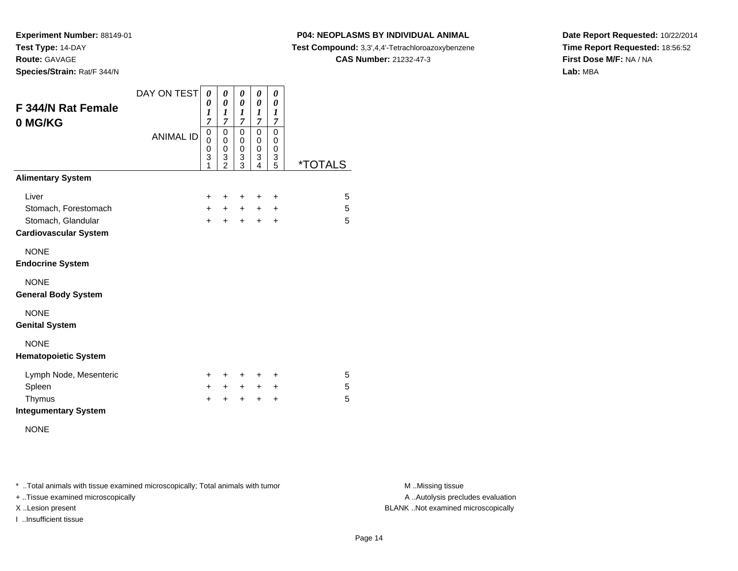**Experiment Number:** 88149-01**Test Type:** 14-DAY

**Route:** GAVAGE

**Species/Strain:** Rat/F 344/N

# **P04: NEOPLASMS BY INDIVIDUAL ANIMAL**

**Test Compound:** 3,3',4,4'-Tetrachloroazoxybenzene

**CAS Number:** 21232-47-3

**Date Report Requested:** 10/22/2014**Time Report Requested:** 18:56:52**First Dose M/F:** NA / NA**Lab:** MBA

| F 344/N Rat Female<br>0 MG/KG | DAY ON TEST      | 0<br>0<br>$\boldsymbol{l}$<br>7<br>0 | 0<br>$\boldsymbol{\theta}$<br>1<br>7<br>0 | 0<br>0<br>1<br>7<br>$\mathbf 0$ | 0<br>0<br>$\boldsymbol{l}$<br>$\overline{7}$<br>$\mathbf 0$ | 0<br>0<br>$\boldsymbol{l}$<br>7<br>$\mathbf 0$ |                       |
|-------------------------------|------------------|--------------------------------------|-------------------------------------------|---------------------------------|-------------------------------------------------------------|------------------------------------------------|-----------------------|
|                               | <b>ANIMAL ID</b> | $\mathbf 0$<br>0<br>3<br>1           | 0<br>0<br>$\frac{3}{2}$                   | 0<br>0<br>$\frac{3}{3}$         | 0<br>0<br>3<br>4                                            | 0<br>$\pmb{0}$<br>$\frac{3}{5}$                | <i><b>*TOTALS</b></i> |
| <b>Alimentary System</b>      |                  |                                      |                                           |                                 |                                                             |                                                |                       |
| Liver                         |                  | $\ddot{}$                            | ÷                                         | +                               | ٠                                                           | +                                              | 5                     |
| Stomach, Forestomach          |                  | $+$                                  | $\ddot{}$                                 | $+$                             | $+$                                                         | $\ddot{}$                                      | 5                     |
| Stomach, Glandular            |                  | $+$                                  | $+$                                       | $+$                             | $+$                                                         | $\ddot{}$                                      | 5                     |
| <b>Cardiovascular System</b>  |                  |                                      |                                           |                                 |                                                             |                                                |                       |
| <b>NONE</b>                   |                  |                                      |                                           |                                 |                                                             |                                                |                       |
| <b>Endocrine System</b>       |                  |                                      |                                           |                                 |                                                             |                                                |                       |
| <b>NONE</b>                   |                  |                                      |                                           |                                 |                                                             |                                                |                       |
| <b>General Body System</b>    |                  |                                      |                                           |                                 |                                                             |                                                |                       |
| <b>NONE</b>                   |                  |                                      |                                           |                                 |                                                             |                                                |                       |
| <b>Genital System</b>         |                  |                                      |                                           |                                 |                                                             |                                                |                       |
| <b>NONE</b>                   |                  |                                      |                                           |                                 |                                                             |                                                |                       |
| <b>Hematopoietic System</b>   |                  |                                      |                                           |                                 |                                                             |                                                |                       |
| Lymph Node, Mesenteric        |                  | $\pm$                                | ÷                                         | $\pm$                           | ÷                                                           | ÷                                              | 5                     |
| Spleen                        |                  | $\pm$                                | $\ddot{}$                                 | $+$                             | $+$                                                         | $\ddot{}$                                      | 5                     |
| Thymus                        |                  | +                                    | +                                         | $\ddot{}$                       | +                                                           | $\ddot{}$                                      | 5                     |
| <b>Integumentary System</b>   |                  |                                      |                                           |                                 |                                                             |                                                |                       |

NONE

\* ..Total animals with tissue examined microscopically; Total animals with tumor **M** . Missing tissue M ..Missing tissue

+ ..Tissue examined microscopically

I ..Insufficient tissue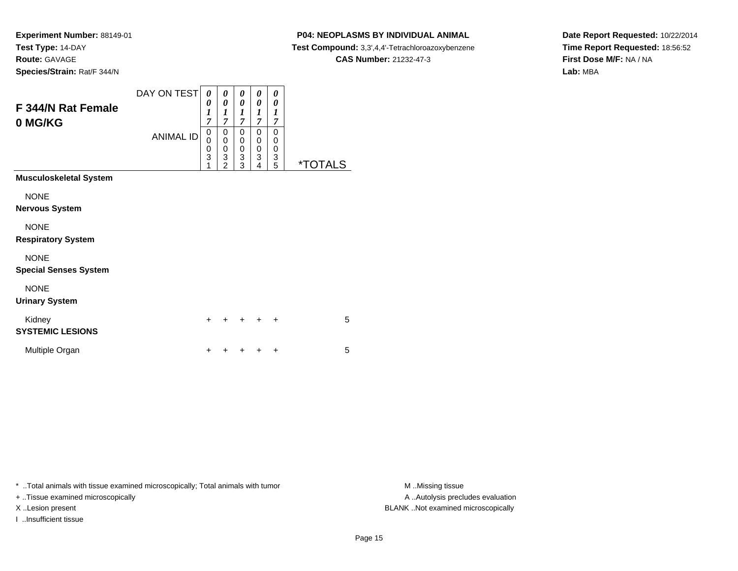**Species/Strain:** Rat/F 344/N

### **P04: NEOPLASMS BY INDIVIDUAL ANIMAL**

**Test Compound:** 3,3',4,4'-Tetrachloroazoxybenzene

**CAS Number:** 21232-47-3

**Date Report Requested:** 10/22/2014**Time Report Requested:** 18:56:52**First Dose M/F:** NA / NA**Lab:** MBA

| F 344/N Rat Female<br>0 MG/KG               | DAY ON TEST<br><b>ANIMAL ID</b> | 0<br>0<br>$\boldsymbol{l}$<br>7<br>$\mathbf 0$<br>0<br>0<br>$\overline{3}$<br>1 | 0<br>$\boldsymbol{\theta}$<br>$\boldsymbol{l}$<br>$\overline{7}$<br>0<br>$\pmb{0}$<br>$\begin{array}{c} 0 \\ 3 \\ 2 \end{array}$ | 0<br>0<br>1<br>$\overline{7}$<br>0<br>$\boldsymbol{0}$<br>$\pmb{0}$<br>$\frac{3}{3}$ | 0<br>0<br>1<br>$\overline{7}$<br>0<br>$\boldsymbol{0}$<br>$\frac{0}{3}$ | 0<br>0<br>1<br>$\overline{7}$<br>0<br>$\mathbf 0$<br>$\pmb{0}$<br>$\frac{3}{5}$ | <i><b>*TOTALS</b></i> |
|---------------------------------------------|---------------------------------|---------------------------------------------------------------------------------|----------------------------------------------------------------------------------------------------------------------------------|--------------------------------------------------------------------------------------|-------------------------------------------------------------------------|---------------------------------------------------------------------------------|-----------------------|
| Musculoskeletal System                      |                                 |                                                                                 |                                                                                                                                  |                                                                                      |                                                                         |                                                                                 |                       |
| <b>NONE</b><br>Nervous System               |                                 |                                                                                 |                                                                                                                                  |                                                                                      |                                                                         |                                                                                 |                       |
| <b>NONE</b><br><b>Respiratory System</b>    |                                 |                                                                                 |                                                                                                                                  |                                                                                      |                                                                         |                                                                                 |                       |
| <b>NONE</b><br><b>Special Senses System</b> |                                 |                                                                                 |                                                                                                                                  |                                                                                      |                                                                         |                                                                                 |                       |
| <b>NONE</b><br><b>Urinary System</b>        |                                 |                                                                                 |                                                                                                                                  |                                                                                      |                                                                         |                                                                                 |                       |
| Kidney<br><b>SYSTEMIC LESIONS</b>           |                                 | $\ddot{}$                                                                       |                                                                                                                                  |                                                                                      |                                                                         | $\ddot{}$                                                                       | 5                     |
| Multiple Organ                              |                                 | $\ddot{}$                                                                       |                                                                                                                                  |                                                                                      |                                                                         | $\ddot{}$                                                                       | 5                     |

\* ..Total animals with tissue examined microscopically; Total animals with tumor **M** . Missing tissue M ..Missing tissue

+ ..Tissue examined microscopically

I ..Insufficient tissue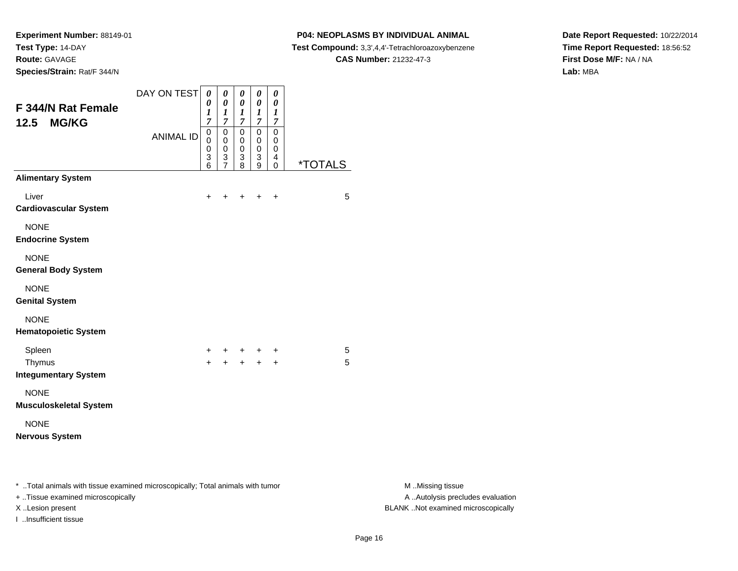**Species/Strain:** Rat/F 344/N

### **P04: NEOPLASMS BY INDIVIDUAL ANIMAL**

**Test Compound:** 3,3',4,4'-Tetrachloroazoxybenzene

**CAS Number:** 21232-47-3

**Date Report Requested:** 10/22/2014**Time Report Requested:** 18:56:52**First Dose M/F:** NA / NA**Lab:** MBA

| F 344/N Rat Female<br><b>MG/KG</b><br>12.5                                                                           | DAY ON TEST<br><b>ANIMAL ID</b> | $\boldsymbol{\theta}$<br>0<br>$\boldsymbol{l}$<br>$\overline{7}$<br>$\mathbf 0$<br>0<br>$\mathbf 0$<br>3<br>6 | 0<br>$\boldsymbol{\theta}$<br>$\boldsymbol{l}$<br>$\overline{7}$<br>$\mathbf 0$<br>$\pmb{0}$<br>$\overline{0}$<br>$\frac{3}{7}$ | 0<br>$\boldsymbol{\theta}$<br>$\boldsymbol{l}$<br>$\overline{7}$<br>$\pmb{0}$<br>0<br>$\mathbf 0$<br>3<br>8 | $\pmb{\theta}$<br>$\pmb{\theta}$<br>$\frac{1}{7}$<br>$\overline{0}$<br>0<br>$\overline{0}$<br>3<br>$\overline{9}$ | $\boldsymbol{\theta}$<br>$\pmb{\theta}$<br>$\boldsymbol{l}$<br>$\overline{7}$<br>$\mathsf 0$<br>0<br>$\pmb{0}$<br>$\overline{4}$<br>$\pmb{0}$ | <i><b>*TOTALS</b></i> |                                                       |
|----------------------------------------------------------------------------------------------------------------------|---------------------------------|---------------------------------------------------------------------------------------------------------------|---------------------------------------------------------------------------------------------------------------------------------|-------------------------------------------------------------------------------------------------------------|-------------------------------------------------------------------------------------------------------------------|-----------------------------------------------------------------------------------------------------------------------------------------------|-----------------------|-------------------------------------------------------|
| <b>Alimentary System</b>                                                                                             |                                 |                                                                                                               |                                                                                                                                 |                                                                                                             |                                                                                                                   |                                                                                                                                               |                       |                                                       |
| Liver<br><b>Cardiovascular System</b>                                                                                |                                 | $\ddot{}$                                                                                                     | $\ddot{}$                                                                                                                       | $+$                                                                                                         | $+$                                                                                                               | $\ddot{}$                                                                                                                                     | 5                     |                                                       |
| <b>NONE</b><br><b>Endocrine System</b>                                                                               |                                 |                                                                                                               |                                                                                                                                 |                                                                                                             |                                                                                                                   |                                                                                                                                               |                       |                                                       |
| <b>NONE</b><br><b>General Body System</b>                                                                            |                                 |                                                                                                               |                                                                                                                                 |                                                                                                             |                                                                                                                   |                                                                                                                                               |                       |                                                       |
| <b>NONE</b><br><b>Genital System</b>                                                                                 |                                 |                                                                                                               |                                                                                                                                 |                                                                                                             |                                                                                                                   |                                                                                                                                               |                       |                                                       |
| <b>NONE</b><br><b>Hematopoietic System</b>                                                                           |                                 |                                                                                                               |                                                                                                                                 |                                                                                                             |                                                                                                                   |                                                                                                                                               |                       |                                                       |
| Spleen<br>Thymus<br><b>Integumentary System</b>                                                                      |                                 | $\ddot{}$                                                                                                     |                                                                                                                                 | $+$                                                                                                         | $+$<br>$+$                                                                                                        | +<br>$\ddot{}$                                                                                                                                | 5<br>5                |                                                       |
| <b>NONE</b><br><b>Musculoskeletal System</b>                                                                         |                                 |                                                                                                               |                                                                                                                                 |                                                                                                             |                                                                                                                   |                                                                                                                                               |                       |                                                       |
| <b>NONE</b><br><b>Nervous System</b>                                                                                 |                                 |                                                                                                               |                                                                                                                                 |                                                                                                             |                                                                                                                   |                                                                                                                                               |                       |                                                       |
| *  Total animals with tissue examined microscopically; Total animals with tumor<br>+ Tissue examined microscopically |                                 |                                                                                                               |                                                                                                                                 |                                                                                                             |                                                                                                                   |                                                                                                                                               |                       | M Missing tissue<br>A  Autolysis precludes evaluation |

I ..Insufficient tissue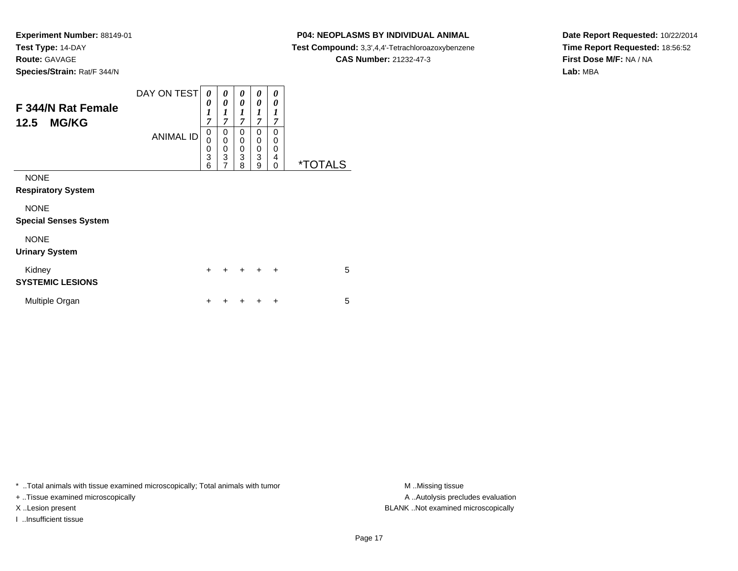### **P04: NEOPLASMS BY INDIVIDUAL ANIMAL**

**Test Compound:** 3,3',4,4'-Tetrachloroazoxybenzene

**CAS Number:** 21232-47-3

**Date Report Requested:** 10/22/2014**Time Report Requested:** 18:56:52**First Dose M/F:** NA / NA**Lab:** MBA

| F 344/N Rat Female<br><b>MG/KG</b><br>12.5                           | DAY ON TEST<br><b>ANIMAL ID</b> | 0<br>0<br>1<br>7<br>0<br>0<br>0<br>3<br>6 | 0<br>0<br>1<br>$\overline{7}$<br>0<br>$\mathbf 0$<br>$\pmb{0}$<br>$\overline{3}$<br>7 | 0<br>0<br>1<br>$\overline{\tau}$<br>0<br>0<br>0<br>3<br>8 | 0<br>0<br>1<br>7<br>0<br>0<br>0<br>3<br>9 | 0<br>0<br>1<br>7<br>0<br>0<br>0<br>4<br>0 | <i><b>*TOTALS</b></i> |
|----------------------------------------------------------------------|---------------------------------|-------------------------------------------|---------------------------------------------------------------------------------------|-----------------------------------------------------------|-------------------------------------------|-------------------------------------------|-----------------------|
| <b>NONE</b><br><b>Respiratory System</b><br><b>NONE</b>              |                                 |                                           |                                                                                       |                                                           |                                           |                                           |                       |
| <b>Special Senses System</b><br><b>NONE</b><br><b>Urinary System</b> |                                 |                                           |                                                                                       |                                                           |                                           |                                           |                       |
| Kidney<br><b>SYSTEMIC LESIONS</b>                                    |                                 | $\ddot{}$                                 |                                                                                       | $\ddot{}$                                                 | $\ddot{}$                                 | ÷                                         | 5                     |
| Multiple Organ                                                       |                                 | ÷                                         |                                                                                       |                                                           | ÷                                         | ÷                                         | 5                     |

\* ..Total animals with tissue examined microscopically; Total animals with tumor **M** . Missing tissue M ..Missing tissue

+ ..Tissue examined microscopically

I ..Insufficient tissue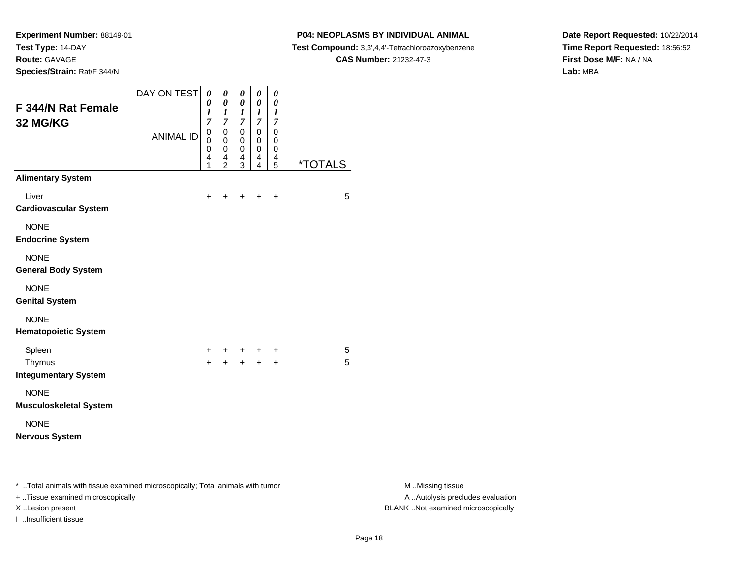**Species/Strain:** Rat/F 344/N

### **P04: NEOPLASMS BY INDIVIDUAL ANIMAL**

**Test Compound:** 3,3',4,4'-Tetrachloroazoxybenzene

**CAS Number:** 21232-47-3

**Date Report Requested:** 10/22/2014**Time Report Requested:** 18:56:52**First Dose M/F:** NA / NA**Lab:** MBA

| F 344/N Rat Female<br>32 MG/KG                                                                                       | DAY ON TEST<br><b>ANIMAL ID</b> | $\boldsymbol{\theta}$<br>0<br>1<br>7<br>$\pmb{0}$<br>0<br>0<br>4<br>1 | $\pmb{\theta}$<br>$\boldsymbol{\theta}$<br>$\boldsymbol{l}$<br>$\boldsymbol{7}$<br>$\mathbf 0$<br>0<br>$\pmb{0}$<br>$\overline{\mathbf{4}}$<br>$\overline{2}$ | 0<br>$\boldsymbol{\theta}$<br>$\boldsymbol{l}$<br>$\boldsymbol{7}$<br>0<br>0<br>0<br>4<br>3 | $\pmb{\theta}$<br>$\pmb{\theta}$<br>1<br>$\boldsymbol{7}$<br>$\mathbf 0$<br>0<br>$\pmb{0}$<br>4<br>$\overline{4}$ | $\boldsymbol{\theta}$<br>$\pmb{\theta}$<br>$\boldsymbol{l}$<br>$\boldsymbol{7}$<br>$\mathsf 0$<br>0<br>$\pmb{0}$<br>$\overline{4}$<br>5 | <i><b>*TOTALS</b></i> |                                                       |
|----------------------------------------------------------------------------------------------------------------------|---------------------------------|-----------------------------------------------------------------------|---------------------------------------------------------------------------------------------------------------------------------------------------------------|---------------------------------------------------------------------------------------------|-------------------------------------------------------------------------------------------------------------------|-----------------------------------------------------------------------------------------------------------------------------------------|-----------------------|-------------------------------------------------------|
| <b>Alimentary System</b>                                                                                             |                                 |                                                                       |                                                                                                                                                               |                                                                                             |                                                                                                                   |                                                                                                                                         |                       |                                                       |
| Liver<br><b>Cardiovascular System</b>                                                                                |                                 | $\ddot{}$                                                             | $\ddot{}$                                                                                                                                                     |                                                                                             | $+$ $+$                                                                                                           | $\ddot{}$                                                                                                                               | 5                     |                                                       |
| <b>NONE</b><br><b>Endocrine System</b>                                                                               |                                 |                                                                       |                                                                                                                                                               |                                                                                             |                                                                                                                   |                                                                                                                                         |                       |                                                       |
| <b>NONE</b><br><b>General Body System</b>                                                                            |                                 |                                                                       |                                                                                                                                                               |                                                                                             |                                                                                                                   |                                                                                                                                         |                       |                                                       |
| <b>NONE</b><br><b>Genital System</b>                                                                                 |                                 |                                                                       |                                                                                                                                                               |                                                                                             |                                                                                                                   |                                                                                                                                         |                       |                                                       |
| <b>NONE</b><br><b>Hematopoietic System</b>                                                                           |                                 |                                                                       |                                                                                                                                                               |                                                                                             |                                                                                                                   |                                                                                                                                         |                       |                                                       |
| Spleen<br>Thymus<br><b>Integumentary System</b>                                                                      |                                 |                                                                       |                                                                                                                                                               |                                                                                             | $+$ $+$                                                                                                           | +                                                                                                                                       | 5<br>5                |                                                       |
| <b>NONE</b><br><b>Musculoskeletal System</b>                                                                         |                                 |                                                                       |                                                                                                                                                               |                                                                                             |                                                                                                                   |                                                                                                                                         |                       |                                                       |
| <b>NONE</b><br><b>Nervous System</b>                                                                                 |                                 |                                                                       |                                                                                                                                                               |                                                                                             |                                                                                                                   |                                                                                                                                         |                       |                                                       |
| *  Total animals with tissue examined microscopically; Total animals with tumor<br>+ Tissue examined microscopically |                                 |                                                                       |                                                                                                                                                               |                                                                                             |                                                                                                                   |                                                                                                                                         |                       | M Missing tissue<br>A  Autolysis precludes evaluation |

I ..Insufficient tissue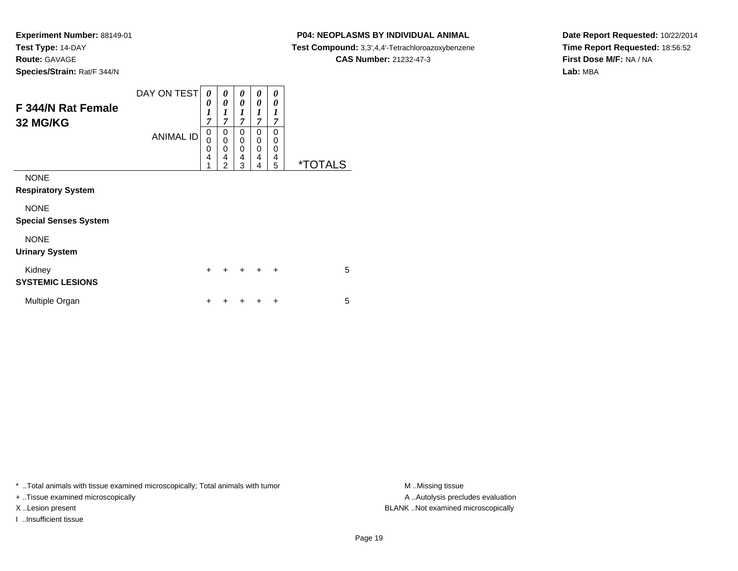### **P04: NEOPLASMS BY INDIVIDUAL ANIMAL**

**Test Compound:** 3,3',4,4'-Tetrachloroazoxybenzene

**CAS Number:** 21232-47-3

**Date Report Requested:** 10/22/2014**Time Report Requested:** 18:56:52**First Dose M/F:** NA / NA**Lab:** MBA

| F 344/N Rat Female<br>32 MG/KG           | DAY ON TEST      | 0<br>0<br>$\boldsymbol{l}$<br>$\overline{7}$ | 0<br>0<br>1<br>7                   | 0<br>0<br>1<br>7      | 0<br>0<br>1<br>7      | 0<br>0<br>1<br>7                       |                       |
|------------------------------------------|------------------|----------------------------------------------|------------------------------------|-----------------------|-----------------------|----------------------------------------|-----------------------|
|                                          | <b>ANIMAL ID</b> | 0<br>0<br>0<br>$\overline{4}$<br>4           | 0<br>0<br>0<br>4<br>$\overline{2}$ | 0<br>0<br>0<br>4<br>3 | 0<br>0<br>0<br>4<br>4 | $\Omega$<br>0<br>$\mathbf 0$<br>4<br>5 | <i><b>*TOTALS</b></i> |
| <b>NONE</b><br><b>Respiratory System</b> |                  |                                              |                                    |                       |                       |                                        |                       |
| <b>NONE</b>                              |                  |                                              |                                    |                       |                       |                                        |                       |
| <b>Special Senses System</b>             |                  |                                              |                                    |                       |                       |                                        |                       |
| <b>NONE</b><br><b>Urinary System</b>     |                  |                                              |                                    |                       |                       |                                        |                       |
| Kidney<br><b>SYSTEMIC LESIONS</b>        |                  | $\ddot{}$                                    | +                                  | $\div$                | $\ddot{}$             | $\ddot{}$                              | 5                     |
| Multiple Organ                           |                  | +                                            |                                    |                       |                       | ÷                                      | 5                     |

\* ..Total animals with tissue examined microscopically; Total animals with tumor **M** . Missing tissue M ..Missing tissue

+ ..Tissue examined microscopically

I ..Insufficient tissue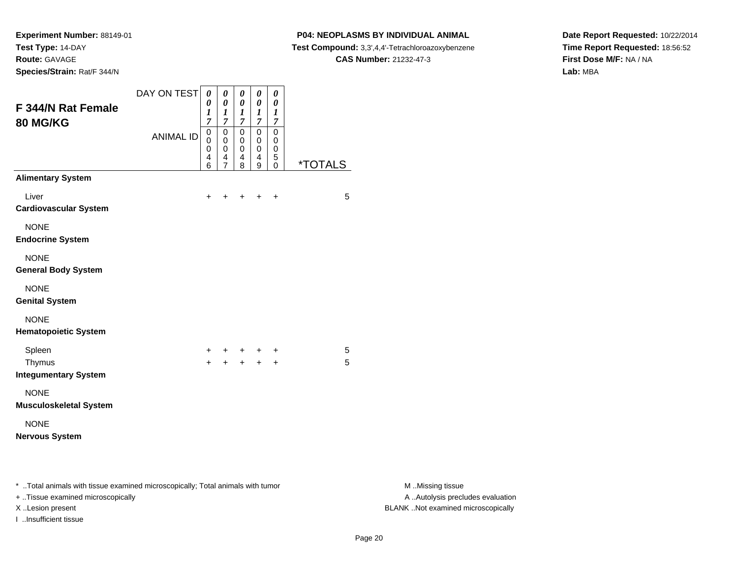**Species/Strain:** Rat/F 344/N

I ..Insufficient tissue

### **P04: NEOPLASMS BY INDIVIDUAL ANIMAL**

**Test Compound:** 3,3',4,4'-Tetrachloroazoxybenzene

**CAS Number:** 21232-47-3

**Date Report Requested:** 10/22/2014**Time Report Requested:** 18:56:52**First Dose M/F:** NA / NA**Lab:** MBA

| F 344/N Rat Female<br>80 MG/KG                                                                                      | DAY ON TEST<br><b>ANIMAL ID</b> | $\boldsymbol{\theta}$<br>0<br>1<br>$\overline{7}$<br>$\pmb{0}$<br>0<br>0<br>4<br>6 | 0<br>0<br>$\boldsymbol{l}$<br>$\boldsymbol{7}$<br>$\boldsymbol{0}$<br>0<br>0<br>4<br>$\overline{7}$ | $\boldsymbol{\theta}$<br>$\boldsymbol{\theta}$<br>$\boldsymbol{l}$<br>$\overline{7}$<br>$\pmb{0}$<br>0<br>$\mathbf 0$<br>$\overline{4}$<br>$\boldsymbol{8}$ | $\pmb{\theta}$<br>$\boldsymbol{\theta}$<br>$\boldsymbol{l}$<br>$\boldsymbol{7}$<br>$\overline{0}$<br>$\pmb{0}$<br>$\pmb{0}$<br>$\begin{array}{c} 4 \\ 9 \end{array}$ | $\pmb{\theta}$<br>0<br>$\boldsymbol{l}$<br>$\boldsymbol{7}$<br>$\mathsf 0$<br>0<br>$\pmb{0}$<br>$\mathbf 5$<br>$\mathsf 0$ | <i><b>*TOTALS</b></i> |                                                       |
|---------------------------------------------------------------------------------------------------------------------|---------------------------------|------------------------------------------------------------------------------------|-----------------------------------------------------------------------------------------------------|-------------------------------------------------------------------------------------------------------------------------------------------------------------|----------------------------------------------------------------------------------------------------------------------------------------------------------------------|----------------------------------------------------------------------------------------------------------------------------|-----------------------|-------------------------------------------------------|
| <b>Alimentary System</b>                                                                                            |                                 |                                                                                    |                                                                                                     |                                                                                                                                                             |                                                                                                                                                                      |                                                                                                                            |                       |                                                       |
| Liver<br><b>Cardiovascular System</b>                                                                               |                                 | +                                                                                  | +                                                                                                   | +                                                                                                                                                           | $+$                                                                                                                                                                  | $\ddot{}$                                                                                                                  | 5                     |                                                       |
| <b>NONE</b><br><b>Endocrine System</b>                                                                              |                                 |                                                                                    |                                                                                                     |                                                                                                                                                             |                                                                                                                                                                      |                                                                                                                            |                       |                                                       |
| <b>NONE</b><br><b>General Body System</b>                                                                           |                                 |                                                                                    |                                                                                                     |                                                                                                                                                             |                                                                                                                                                                      |                                                                                                                            |                       |                                                       |
| <b>NONE</b><br><b>Genital System</b>                                                                                |                                 |                                                                                    |                                                                                                     |                                                                                                                                                             |                                                                                                                                                                      |                                                                                                                            |                       |                                                       |
| <b>NONE</b><br><b>Hematopoietic System</b>                                                                          |                                 |                                                                                    |                                                                                                     |                                                                                                                                                             |                                                                                                                                                                      |                                                                                                                            |                       |                                                       |
| Spleen<br>Thymus<br><b>Integumentary System</b>                                                                     |                                 | +<br>$\ddot{}$                                                                     | +<br>$+$                                                                                            | $+$                                                                                                                                                         | +<br>$\ddot{}$                                                                                                                                                       | +<br>$+$                                                                                                                   | 5<br>5                |                                                       |
| <b>NONE</b><br><b>Musculoskeletal System</b>                                                                        |                                 |                                                                                    |                                                                                                     |                                                                                                                                                             |                                                                                                                                                                      |                                                                                                                            |                       |                                                       |
| <b>NONE</b><br><b>Nervous System</b>                                                                                |                                 |                                                                                    |                                                                                                     |                                                                                                                                                             |                                                                                                                                                                      |                                                                                                                            |                       |                                                       |
| * Total animals with tissue examined microscopically; Total animals with tumor<br>+ Tissue examined microscopically |                                 |                                                                                    |                                                                                                     |                                                                                                                                                             |                                                                                                                                                                      |                                                                                                                            |                       | M Missing tissue<br>A  Autolysis precludes evaluation |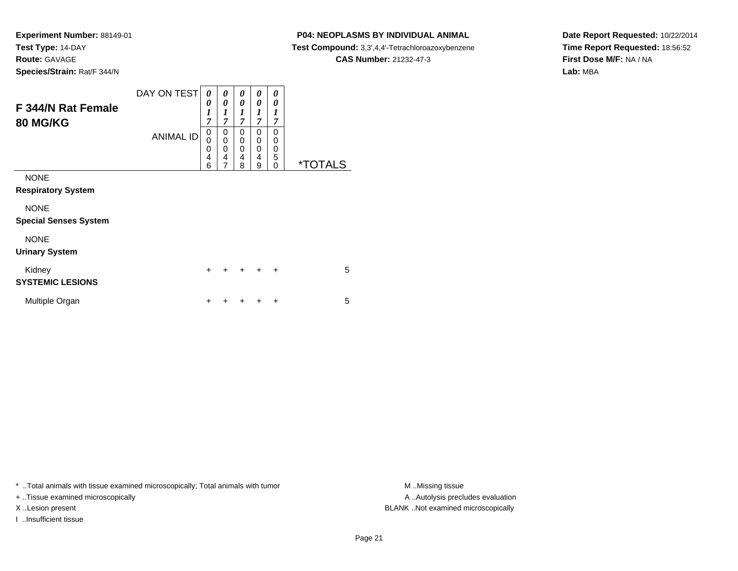#### **P04: NEOPLASMS BY INDIVIDUAL ANIMAL**

**Test Compound:** 3,3',4,4'-Tetrachloroazoxybenzene

**CAS Number:** 21232-47-3

**Date Report Requested:** 10/22/2014**Time Report Requested:** 18:56:52**First Dose M/F:** NA / NA**Lab:** MBA

| F 344/N Rat Female<br><b>80 MG/KG</b>       | DAY ON TEST<br><b>ANIMAL ID</b> | 0<br>0<br>$\boldsymbol{l}$<br>$\overline{7}$<br>0<br>0<br>0 | 0<br>0<br>1<br>$\overline{7}$<br>0<br>$\mathbf 0$<br>0 | 0<br>0<br>1<br>$\overline{7}$<br>0<br>$\mathbf 0$<br>$\mathbf 0$ | 0<br>0<br>1<br>$\overline{7}$<br>0<br>0<br>0 | 0<br>0<br>1<br>$\overline{7}$<br>$\Omega$<br>0<br>0 |                       |
|---------------------------------------------|---------------------------------|-------------------------------------------------------------|--------------------------------------------------------|------------------------------------------------------------------|----------------------------------------------|-----------------------------------------------------|-----------------------|
|                                             |                                 | 4<br>6                                                      | 4<br>$\overline{7}$                                    | 4<br>8                                                           | 4<br>9                                       | 5<br>$\Omega$                                       | <i><b>*TOTALS</b></i> |
| <b>NONE</b><br><b>Respiratory System</b>    |                                 |                                                             |                                                        |                                                                  |                                              |                                                     |                       |
| <b>NONE</b><br><b>Special Senses System</b> |                                 |                                                             |                                                        |                                                                  |                                              |                                                     |                       |
| <b>NONE</b><br><b>Urinary System</b>        |                                 |                                                             |                                                        |                                                                  |                                              |                                                     |                       |
| Kidney<br><b>SYSTEMIC LESIONS</b>           |                                 | $\ddot{}$                                                   | +                                                      | $\div$                                                           | $\ddot{}$                                    | $\ddot{}$                                           | 5                     |
| Multiple Organ                              |                                 | +                                                           |                                                        |                                                                  |                                              | ÷                                                   | 5                     |

\* ..Total animals with tissue examined microscopically; Total animals with tumor **M** . Missing tissue M ..Missing tissue

+ ..Tissue examined microscopically

I ..Insufficient tissue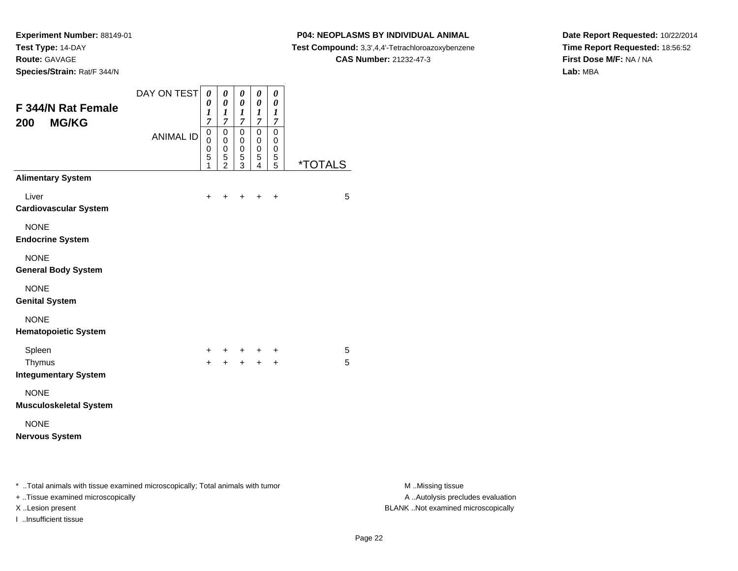**Species/Strain:** Rat/F 344/N

I ..Insufficient tissue

### **P04: NEOPLASMS BY INDIVIDUAL ANIMAL**

**Test Compound:** 3,3',4,4'-Tetrachloroazoxybenzene

**CAS Number:** 21232-47-3

**Date Report Requested:** 10/22/2014**Time Report Requested:** 18:56:52**First Dose M/F:** NA / NA**Lab:** MBA

| F 344/N Rat Female<br><b>MG/KG</b><br>200                                                                           | DAY ON TEST<br><b>ANIMAL ID</b> | $\boldsymbol{\theta}$<br>0<br>$\boldsymbol{l}$<br>7<br>$\mathbf 0$<br>0<br>0<br>5<br>1 | 0<br>$\boldsymbol{\theta}$<br>$\boldsymbol{l}$<br>$\overline{7}$<br>$\mathbf 0$<br>$\mathbf 0$<br>0<br>$\frac{5}{2}$ | $\boldsymbol{\theta}$<br>$\boldsymbol{\theta}$<br>$\boldsymbol{l}$<br>$\boldsymbol{7}$<br>$\overline{0}$<br>$\mathbf 0$<br>$\pmb{0}$<br>$\sqrt{5}$<br>3 | $\pmb{\theta}$<br>$\pmb{\theta}$<br>$\frac{1}{7}$<br>$\overline{0}$<br>$\pmb{0}$<br>$\pmb{0}$<br>$\frac{5}{4}$ | 0<br>0<br>$\boldsymbol{l}$<br>$\boldsymbol{7}$<br>$\mathbf 0$<br>0<br>0<br>$\frac{5}{5}$ | <i><b>*TOTALS</b></i> |                                                       |
|---------------------------------------------------------------------------------------------------------------------|---------------------------------|----------------------------------------------------------------------------------------|----------------------------------------------------------------------------------------------------------------------|---------------------------------------------------------------------------------------------------------------------------------------------------------|----------------------------------------------------------------------------------------------------------------|------------------------------------------------------------------------------------------|-----------------------|-------------------------------------------------------|
| <b>Alimentary System</b>                                                                                            |                                 |                                                                                        |                                                                                                                      |                                                                                                                                                         |                                                                                                                |                                                                                          |                       |                                                       |
| Liver<br><b>Cardiovascular System</b>                                                                               |                                 | $\ddot{}$                                                                              | $\ddot{}$                                                                                                            | $\ddot{}$                                                                                                                                               | $+$                                                                                                            | $\ddot{}$                                                                                | 5                     |                                                       |
| <b>NONE</b><br><b>Endocrine System</b>                                                                              |                                 |                                                                                        |                                                                                                                      |                                                                                                                                                         |                                                                                                                |                                                                                          |                       |                                                       |
| <b>NONE</b><br><b>General Body System</b>                                                                           |                                 |                                                                                        |                                                                                                                      |                                                                                                                                                         |                                                                                                                |                                                                                          |                       |                                                       |
| <b>NONE</b><br><b>Genital System</b>                                                                                |                                 |                                                                                        |                                                                                                                      |                                                                                                                                                         |                                                                                                                |                                                                                          |                       |                                                       |
| <b>NONE</b><br><b>Hematopoietic System</b>                                                                          |                                 |                                                                                        |                                                                                                                      |                                                                                                                                                         |                                                                                                                |                                                                                          |                       |                                                       |
| Spleen<br>Thymus<br><b>Integumentary System</b>                                                                     |                                 | +<br>$+$                                                                               | $+$                                                                                                                  | $+$                                                                                                                                                     | +<br>$+$                                                                                                       | +<br>$+$                                                                                 | 5<br>5                |                                                       |
| <b>NONE</b><br><b>Musculoskeletal System</b>                                                                        |                                 |                                                                                        |                                                                                                                      |                                                                                                                                                         |                                                                                                                |                                                                                          |                       |                                                       |
| <b>NONE</b><br><b>Nervous System</b>                                                                                |                                 |                                                                                        |                                                                                                                      |                                                                                                                                                         |                                                                                                                |                                                                                          |                       |                                                       |
| * Total animals with tissue examined microscopically; Total animals with tumor<br>+ Tissue examined microscopically |                                 |                                                                                        |                                                                                                                      |                                                                                                                                                         |                                                                                                                |                                                                                          |                       | M Missing tissue<br>A  Autolysis precludes evaluation |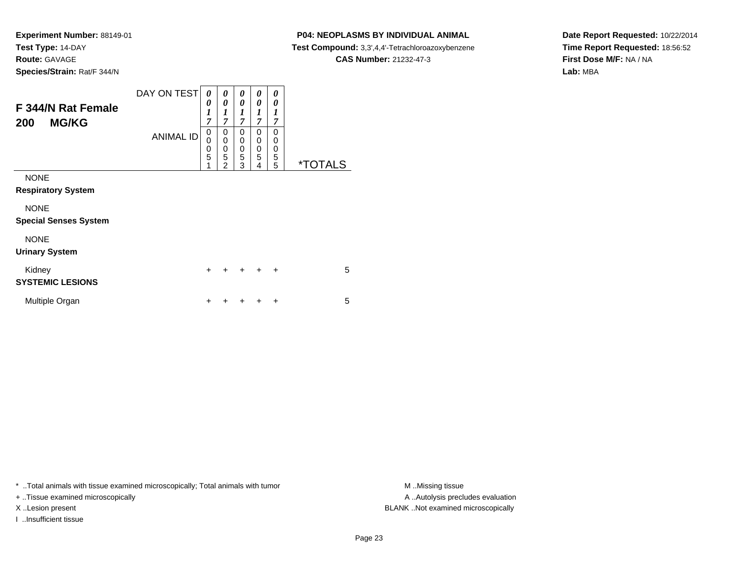**Species/Strain:** Rat/F 344/N

### **P04: NEOPLASMS BY INDIVIDUAL ANIMAL**

**Test Compound:** 3,3',4,4'-Tetrachloroazoxybenzene

**CAS Number:** 21232-47-3

**Date Report Requested:** 10/22/2014**Time Report Requested:** 18:56:52**First Dose M/F:** NA / NA**Lab:** MBA

| F 344/N Rat Female<br><b>MG/KG</b><br>200   | DAY ON TEST<br><b>ANIMAL ID</b> | $\boldsymbol{\theta}$<br>0<br>$\boldsymbol{l}$<br>$\overline{7}$<br>$\mathbf 0$<br>0<br>$\boldsymbol{0}$<br>$\overline{5}$ | 0<br>$\boldsymbol{\theta}$<br>$\boldsymbol{l}$<br>$\overline{7}$<br>0<br>0<br>0<br>$\overline{5}$ | 0<br>0<br>$\boldsymbol{l}$<br>7<br>0<br>0<br>0<br>5 | 0<br>0<br>1<br>$\overline{7}$<br>$\mathbf{0}$<br>0<br>0<br>5 | 0<br>0<br>1<br>7<br>0<br>0<br>0<br>5 |                       |   |
|---------------------------------------------|---------------------------------|----------------------------------------------------------------------------------------------------------------------------|---------------------------------------------------------------------------------------------------|-----------------------------------------------------|--------------------------------------------------------------|--------------------------------------|-----------------------|---|
| <b>NONE</b><br><b>Respiratory System</b>    |                                 | 1                                                                                                                          | $\mathfrak{p}$                                                                                    | 3                                                   | 4                                                            | 5                                    | <i><b>*TOTALS</b></i> |   |
| <b>NONE</b><br><b>Special Senses System</b> |                                 |                                                                                                                            |                                                                                                   |                                                     |                                                              |                                      |                       |   |
| <b>NONE</b><br><b>Urinary System</b>        |                                 |                                                                                                                            |                                                                                                   |                                                     |                                                              |                                      |                       |   |
| Kidney<br><b>SYSTEMIC LESIONS</b>           |                                 | $\ddot{}$                                                                                                                  | +                                                                                                 | $\pm$                                               | $\ddot{}$                                                    | $\ddot{}$                            |                       | 5 |
| Multiple Organ                              |                                 | ÷                                                                                                                          |                                                                                                   |                                                     | ٠                                                            | ÷                                    |                       | 5 |

\* ..Total animals with tissue examined microscopically; Total animals with tumor **M** . Missing tissue M ..Missing tissue

+ ..Tissue examined microscopically

I ..Insufficient tissue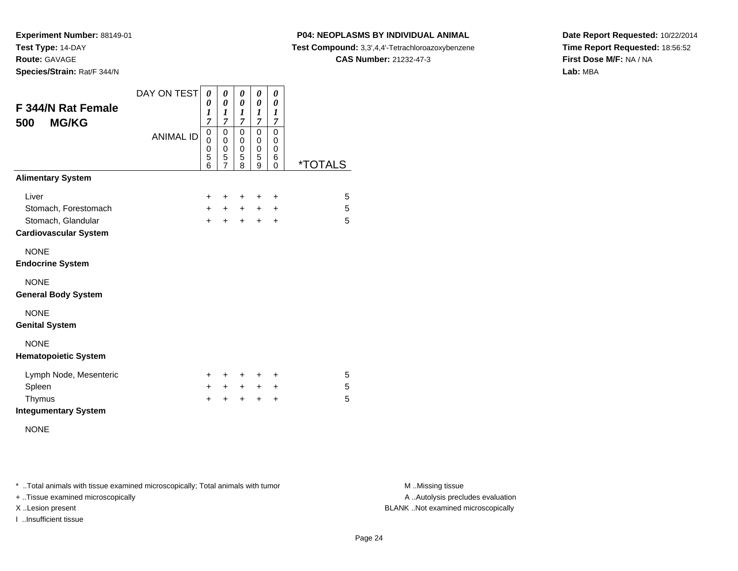**Species/Strain:** Rat/F 344/N

## **P04: NEOPLASMS BY INDIVIDUAL ANIMAL**

**Test Compound:** 3,3',4,4'-Tetrachloroazoxybenzene

**CAS Number:** 21232-47-3

**Date Report Requested:** 10/22/2014**Time Report Requested:** 18:56:52**First Dose M/F:** NA / NA**Lab:** MBA

| F 344/N Rat Female<br><b>MG/KG</b><br>500 | DAY ON TEST<br><b>ANIMAL ID</b> | 0<br>0<br>1<br>7<br>0<br>0<br>0<br>5<br>6 | 0<br>0<br>1<br>7<br>0<br>$\mathbf 0$<br>$\mathbf 0$<br>5<br>$\overline{7}$ | 0<br>$\boldsymbol{\theta}$<br>$\boldsymbol{l}$<br>$\overline{7}$<br>0<br>0<br>0<br>5<br>8 | 0<br>$\boldsymbol{\theta}$<br>$\boldsymbol{l}$<br>$\overline{7}$<br>0<br>0<br>$\mathbf 0$<br>5<br>9 | 0<br>0<br>$\boldsymbol{l}$<br>7<br>0<br>$\mathbf 0$<br>$\mathbf 0$<br>6<br>0 | <i><b>*TOTALS</b></i> |
|-------------------------------------------|---------------------------------|-------------------------------------------|----------------------------------------------------------------------------|-------------------------------------------------------------------------------------------|-----------------------------------------------------------------------------------------------------|------------------------------------------------------------------------------|-----------------------|
| <b>Alimentary System</b>                  |                                 |                                           |                                                                            |                                                                                           |                                                                                                     |                                                                              |                       |
| Liver                                     |                                 | ٠                                         | ÷                                                                          | ÷                                                                                         | ÷                                                                                                   | ÷                                                                            | 5                     |
| Stomach, Forestomach                      |                                 | $+$                                       | $+$                                                                        | $+$                                                                                       | $+$                                                                                                 | $\ddot{}$                                                                    | 5                     |
| Stomach, Glandular                        |                                 | $+$                                       | $\ddot{}$                                                                  | $+$                                                                                       | $+$                                                                                                 | $\ddot{}$                                                                    | 5                     |
| <b>Cardiovascular System</b>              |                                 |                                           |                                                                            |                                                                                           |                                                                                                     |                                                                              |                       |
| <b>NONE</b>                               |                                 |                                           |                                                                            |                                                                                           |                                                                                                     |                                                                              |                       |
| <b>Endocrine System</b>                   |                                 |                                           |                                                                            |                                                                                           |                                                                                                     |                                                                              |                       |
| <b>NONE</b>                               |                                 |                                           |                                                                            |                                                                                           |                                                                                                     |                                                                              |                       |
| <b>General Body System</b>                |                                 |                                           |                                                                            |                                                                                           |                                                                                                     |                                                                              |                       |
| <b>NONE</b>                               |                                 |                                           |                                                                            |                                                                                           |                                                                                                     |                                                                              |                       |
| <b>Genital System</b>                     |                                 |                                           |                                                                            |                                                                                           |                                                                                                     |                                                                              |                       |
| <b>NONE</b>                               |                                 |                                           |                                                                            |                                                                                           |                                                                                                     |                                                                              |                       |
| <b>Hematopoietic System</b>               |                                 |                                           |                                                                            |                                                                                           |                                                                                                     |                                                                              |                       |
| Lymph Node, Mesenteric                    |                                 | ÷.                                        | ÷                                                                          | $\pm$                                                                                     | ÷                                                                                                   | ÷                                                                            | 5                     |
| Spleen                                    |                                 | $+$                                       | $+$                                                                        | $+$                                                                                       | $+$                                                                                                 | $\ddot{}$                                                                    | 5                     |
| Thymus                                    |                                 | +                                         | $\ddot{}$                                                                  | $\ddot{}$                                                                                 | $\ddot{}$                                                                                           | +                                                                            | 5                     |
| <b>Integumentary System</b>               |                                 |                                           |                                                                            |                                                                                           |                                                                                                     |                                                                              |                       |

NONE

\* ..Total animals with tissue examined microscopically; Total animals with tumor **M** . Missing tissue M ..Missing tissue

+ ..Tissue examined microscopically

I ..Insufficient tissue